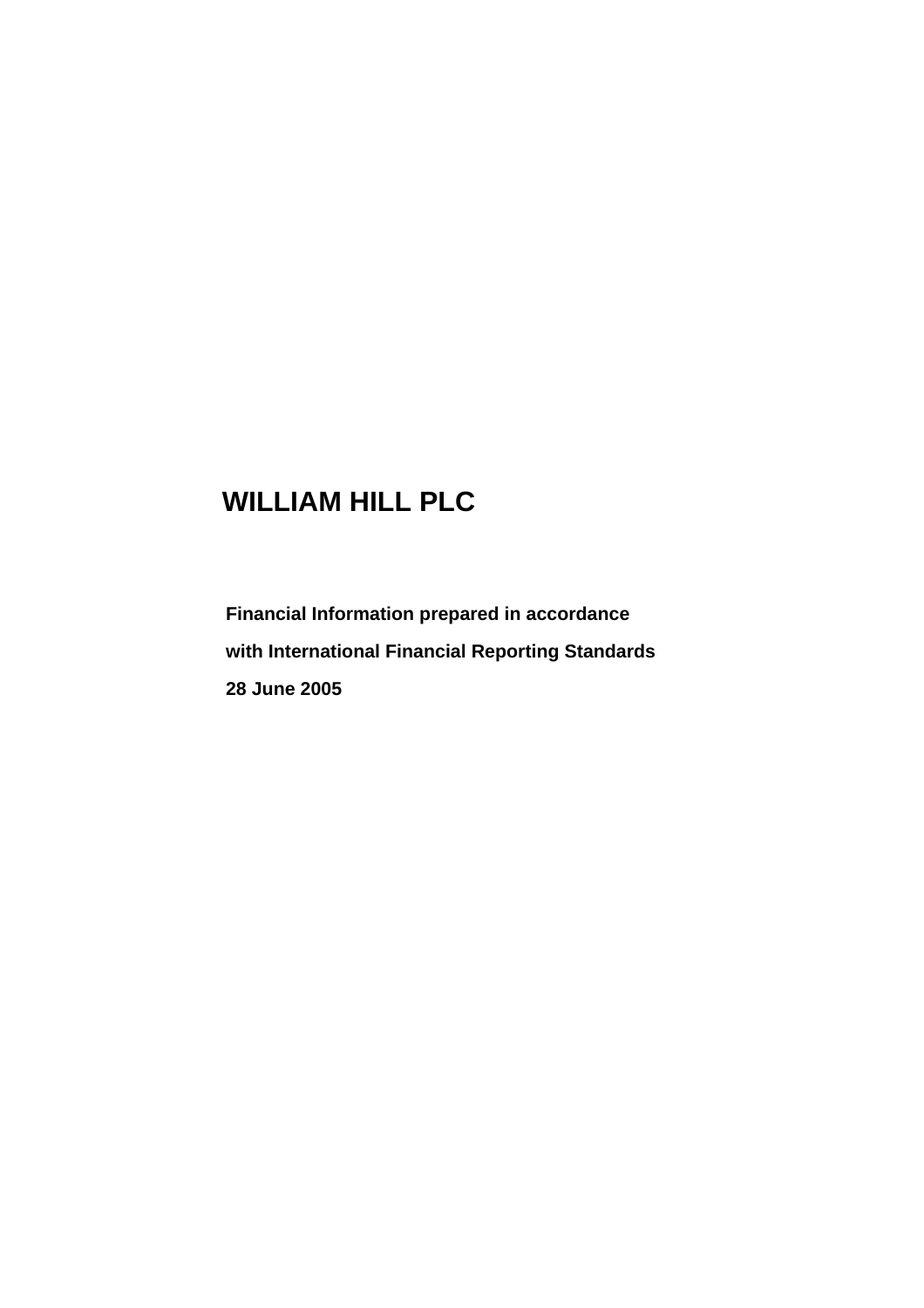# **WILLIAM HILL PLC**

**Financial Information prepared in accordance with International Financial Reporting Standards 28 June 2005**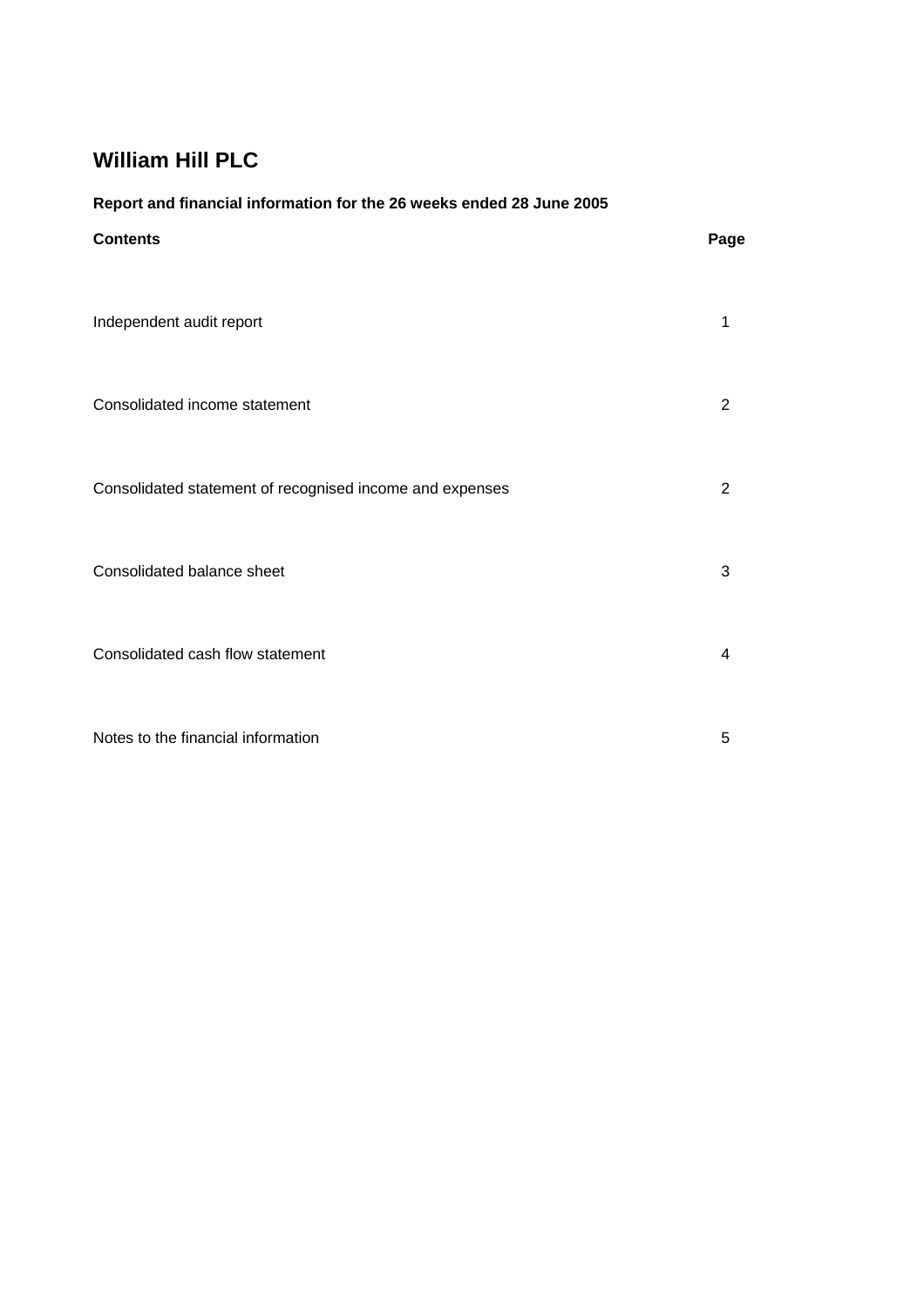### **Report and financial information for the 26 weeks ended 28 June 2005**

| <b>Contents</b>                                          | Page |
|----------------------------------------------------------|------|
| Independent audit report                                 | 1    |
| Consolidated income statement                            | 2    |
| Consolidated statement of recognised income and expenses | 2    |
| Consolidated balance sheet                               | 3    |
| Consolidated cash flow statement                         | 4    |
| Notes to the financial information                       | 5    |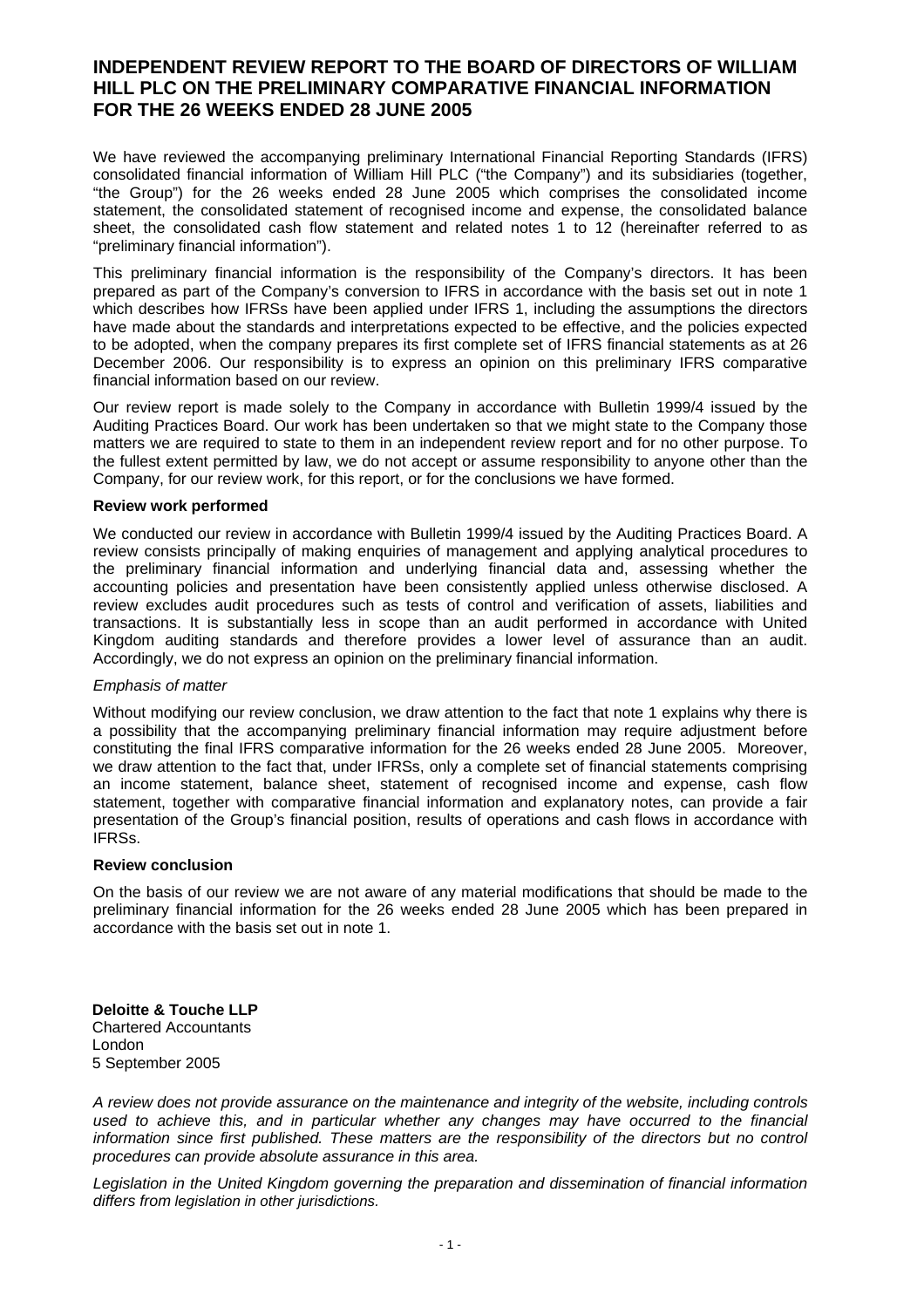### **INDEPENDENT REVIEW REPORT TO THE BOARD OF DIRECTORS OF WILLIAM HILL PLC ON THE PRELIMINARY COMPARATIVE FINANCIAL INFORMATION FOR THE 26 WEEKS ENDED 28 JUNE 2005**

We have reviewed the accompanying preliminary International Financial Reporting Standards (IFRS) consolidated financial information of William Hill PLC ("the Company") and its subsidiaries (together, "the Group") for the 26 weeks ended 28 June 2005 which comprises the consolidated income statement, the consolidated statement of recognised income and expense, the consolidated balance sheet, the consolidated cash flow statement and related notes 1 to 12 (hereinafter referred to as "preliminary financial information").

This preliminary financial information is the responsibility of the Company's directors. It has been prepared as part of the Company's conversion to IFRS in accordance with the basis set out in note 1 which describes how IFRSs have been applied under IFRS 1, including the assumptions the directors have made about the standards and interpretations expected to be effective, and the policies expected to be adopted, when the company prepares its first complete set of IFRS financial statements as at 26 December 2006. Our responsibility is to express an opinion on this preliminary IFRS comparative financial information based on our review.

Our review report is made solely to the Company in accordance with Bulletin 1999/4 issued by the Auditing Practices Board. Our work has been undertaken so that we might state to the Company those matters we are required to state to them in an independent review report and for no other purpose. To the fullest extent permitted by law, we do not accept or assume responsibility to anyone other than the Company, for our review work, for this report, or for the conclusions we have formed.

#### **Review work performed**

We conducted our review in accordance with Bulletin 1999/4 issued by the Auditing Practices Board. A review consists principally of making enquiries of management and applying analytical procedures to the preliminary financial information and underlying financial data and, assessing whether the accounting policies and presentation have been consistently applied unless otherwise disclosed. A review excludes audit procedures such as tests of control and verification of assets, liabilities and transactions. It is substantially less in scope than an audit performed in accordance with United Kingdom auditing standards and therefore provides a lower level of assurance than an audit. Accordingly, we do not express an opinion on the preliminary financial information.

#### *Emphasis of matter*

Without modifying our review conclusion, we draw attention to the fact that note 1 explains why there is a possibility that the accompanying preliminary financial information may require adjustment before constituting the final IFRS comparative information for the 26 weeks ended 28 June 2005. Moreover, we draw attention to the fact that, under IFRSs, only a complete set of financial statements comprising an income statement, balance sheet, statement of recognised income and expense, cash flow statement, together with comparative financial information and explanatory notes, can provide a fair presentation of the Group's financial position, results of operations and cash flows in accordance with IFRSs.

#### **Review conclusion**

On the basis of our review we are not aware of any material modifications that should be made to the preliminary financial information for the 26 weeks ended 28 June 2005 which has been prepared in accordance with the basis set out in note 1.

**Deloitte & Touche LLP**  Chartered Accountants London 5 September 2005

*A review does not provide assurance on the maintenance and integrity of the website, including controls used to achieve this, and in particular whether any changes may have occurred to the financial information since first published. These matters are the responsibility of the directors but no control procedures can provide absolute assurance in this area.* 

*Legislation in the United Kingdom governing the preparation and dissemination of financial information differs from legislation in other jurisdictions.*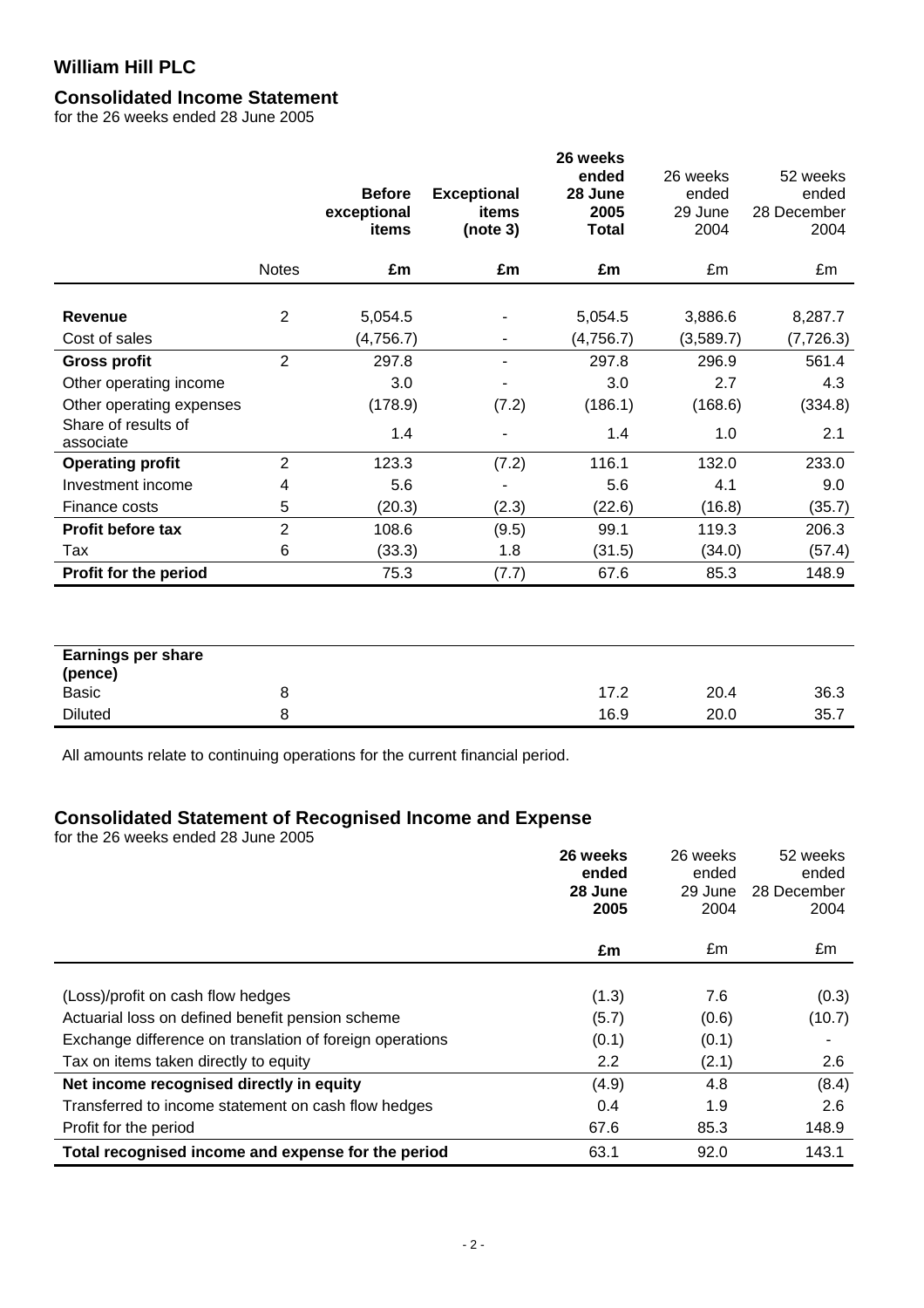# **Consolidated Income Statement**

for the 26 weeks ended 28 June 2005

|                                  |                | <b>Before</b><br>exceptional<br>items | <b>Exceptional</b><br>items<br>(note 3) | 26 weeks<br>ended<br>28 June<br>2005<br><b>Total</b> | 26 weeks<br>ended<br>29 June<br>2004 | 52 weeks<br>ended<br>28 December<br>2004 |
|----------------------------------|----------------|---------------------------------------|-----------------------------------------|------------------------------------------------------|--------------------------------------|------------------------------------------|
|                                  | <b>Notes</b>   | £m                                    | £m                                      | £m                                                   | £m                                   | £m                                       |
| <b>Revenue</b><br>Cost of sales  | $\overline{2}$ | 5,054.5<br>(4,756.7)                  | ۰                                       | 5,054.5<br>(4,756.7)                                 | 3,886.6<br>(3,589.7)                 | 8,287.7<br>(7, 726.3)                    |
| <b>Gross profit</b>              | $\overline{2}$ | 297.8                                 | ٠                                       | 297.8                                                | 296.9                                | 561.4                                    |
| Other operating income           |                | 3.0                                   |                                         | 3.0                                                  | 2.7                                  | 4.3                                      |
| Other operating expenses         |                | (178.9)                               | (7.2)                                   | (186.1)                                              | (168.6)                              | (334.8)                                  |
| Share of results of<br>associate |                | 1.4                                   |                                         | 1.4                                                  | 1.0                                  | 2.1                                      |
| <b>Operating profit</b>          | $\overline{2}$ | 123.3                                 | (7.2)                                   | 116.1                                                | 132.0                                | 233.0                                    |
| Investment income                | 4              | 5.6                                   |                                         | 5.6                                                  | 4.1                                  | 9.0                                      |
| Finance costs                    | 5              | (20.3)                                | (2.3)                                   | (22.6)                                               | (16.8)                               | (35.7)                                   |
| Profit before tax                | $\overline{2}$ | 108.6                                 | (9.5)                                   | 99.1                                                 | 119.3                                | 206.3                                    |
| Tax                              | 6              | (33.3)                                | 1.8                                     | (31.5)                                               | (34.0)                               | (57.4)                                   |
| Profit for the period            |                | 75.3                                  | (7.7)                                   | 67.6                                                 | 85.3                                 | 148.9                                    |
|                                  |                |                                       |                                         |                                                      |                                      |                                          |

| <b>Earnings per share</b> |      |      |      |
|---------------------------|------|------|------|
| (pence)                   |      |      |      |
| <b>Basic</b>              | 17.2 | 20.4 | 36.3 |
| <b>Diluted</b>            | 16.9 | 20.0 | 35.7 |

All amounts relate to continuing operations for the current financial period.

### **Consolidated Statement of Recognised Income and Expense**

for the 26 weeks ended 28 June 2005

|                                                          | 26 weeks<br>ended<br>28 June<br>2005 | 26 weeks<br>ended<br>29 June<br>2004 | 52 weeks<br>ended<br>28 December<br>2004 |
|----------------------------------------------------------|--------------------------------------|--------------------------------------|------------------------------------------|
|                                                          | £m                                   | £m                                   | £m                                       |
|                                                          |                                      |                                      |                                          |
| (Loss)/profit on cash flow hedges                        | (1.3)                                | 7.6                                  | (0.3)                                    |
| Actuarial loss on defined benefit pension scheme         | (5.7)                                | (0.6)                                | (10.7)                                   |
| Exchange difference on translation of foreign operations | (0.1)                                | (0.1)                                |                                          |
| Tax on items taken directly to equity                    | 2.2                                  | (2.1)                                | 2.6                                      |
| Net income recognised directly in equity                 | (4.9)                                | 4.8                                  | (8.4)                                    |
| Transferred to income statement on cash flow hedges      | 0.4                                  | 1.9                                  | 2.6                                      |
| Profit for the period                                    | 67.6                                 | 85.3                                 | 148.9                                    |
| Total recognised income and expense for the period       | 63.1                                 | 92.0                                 | 143.1                                    |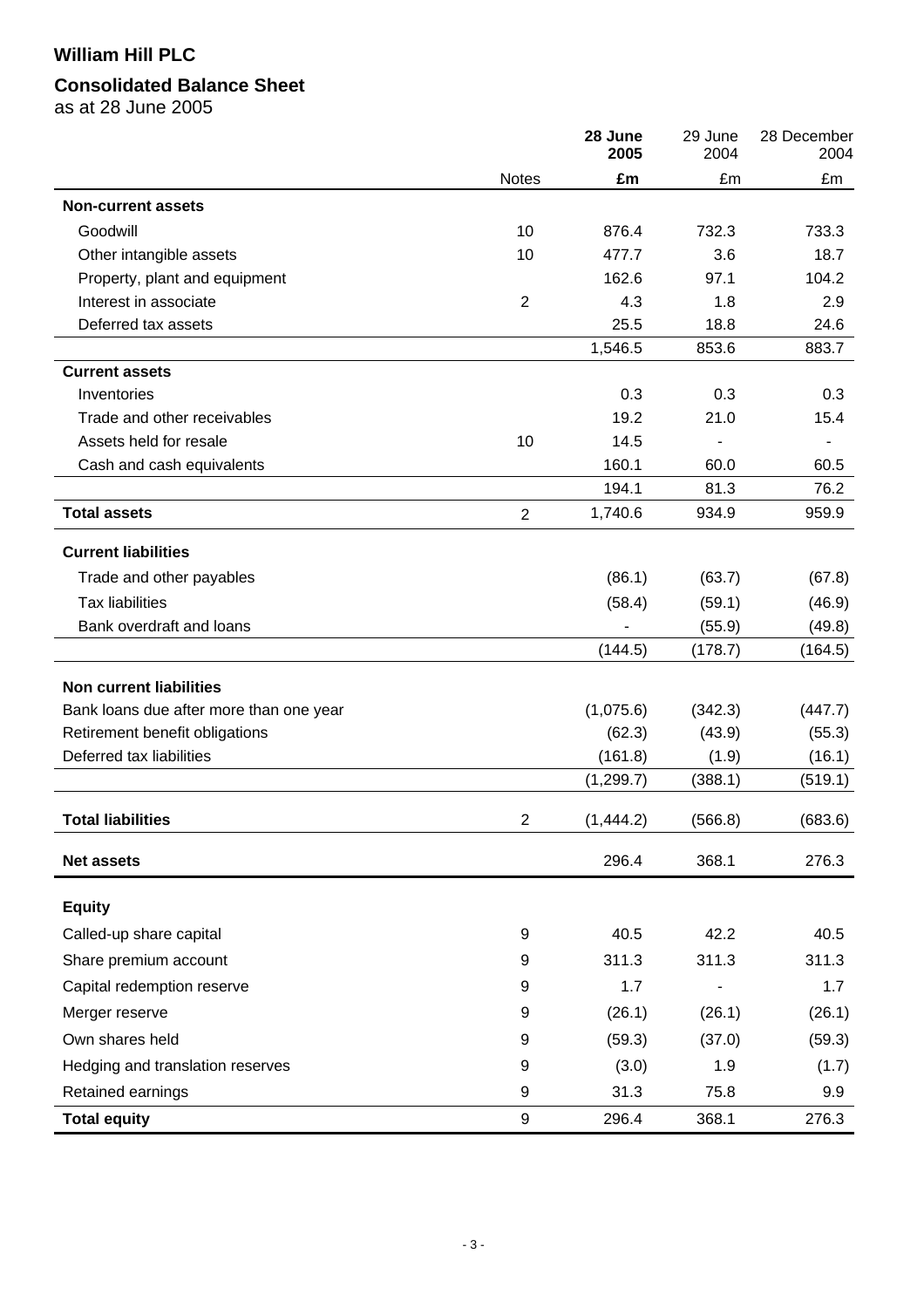# **Consolidated Balance Sheet**

as at 28 June 2005

|                                         |                         | 28 June<br>2005 | 29 June<br>2004 | 28 December<br>2004 |
|-----------------------------------------|-------------------------|-----------------|-----------------|---------------------|
|                                         | Notes                   | £m              | £m              | £m                  |
| <b>Non-current assets</b>               |                         |                 |                 |                     |
| Goodwill                                | 10                      | 876.4           | 732.3           | 733.3               |
| Other intangible assets                 | 10                      | 477.7           | 3.6             | 18.7                |
| Property, plant and equipment           |                         | 162.6           | 97.1            | 104.2               |
| Interest in associate                   | $\overline{2}$          | 4.3             | 1.8             | 2.9                 |
| Deferred tax assets                     |                         | 25.5            | 18.8            | 24.6                |
|                                         |                         | 1,546.5         | 853.6           | 883.7               |
| <b>Current assets</b>                   |                         |                 |                 |                     |
| Inventories                             |                         | 0.3             | 0.3             | 0.3                 |
| Trade and other receivables             |                         | 19.2            | 21.0            | 15.4                |
| Assets held for resale                  | 10                      | 14.5            |                 |                     |
| Cash and cash equivalents               |                         | 160.1           | 60.0            | 60.5                |
|                                         |                         | 194.1           | 81.3            | 76.2                |
| <b>Total assets</b>                     | $\overline{2}$          | 1,740.6         | 934.9           | 959.9               |
| <b>Current liabilities</b>              |                         |                 |                 |                     |
| Trade and other payables                |                         | (86.1)          | (63.7)          | (67.8)              |
| <b>Tax liabilities</b>                  |                         | (58.4)          | (59.1)          | (46.9)              |
| Bank overdraft and loans                |                         |                 | (55.9)          | (49.8)              |
|                                         |                         | (144.5)         | (178.7)         | (164.5)             |
| <b>Non current liabilities</b>          |                         |                 |                 |                     |
| Bank loans due after more than one year |                         | (1,075.6)       | (342.3)         | (447.7)             |
| Retirement benefit obligations          |                         | (62.3)          | (43.9)          | (55.3)              |
| Deferred tax liabilities                |                         | (161.8)         | (1.9)           | (16.1)              |
|                                         |                         | (1, 299.7)      | (388.1)         | (519.1)             |
| <b>Total liabilities</b>                | $\overline{\mathbf{c}}$ | (1,444.2)       | (566.8)         | (683.6)             |
| <b>Net assets</b>                       |                         | 296.4           | 368.1           | 276.3               |
| <b>Equity</b>                           |                         |                 |                 |                     |
| Called-up share capital                 | 9                       | 40.5            | 42.2            | 40.5                |
| Share premium account                   | 9                       | 311.3           | 311.3           | 311.3               |
| Capital redemption reserve              | 9                       | 1.7             |                 | 1.7                 |
| Merger reserve                          | 9                       | (26.1)          | (26.1)          | (26.1)              |
|                                         |                         |                 |                 |                     |
| Own shares held                         | 9                       | (59.3)          | (37.0)          | (59.3)              |
| Hedging and translation reserves        | 9                       | (3.0)           | 1.9             | (1.7)               |
| Retained earnings                       | 9                       | 31.3            | 75.8            | 9.9                 |
| <b>Total equity</b>                     | 9                       | 296.4           | 368.1           | 276.3               |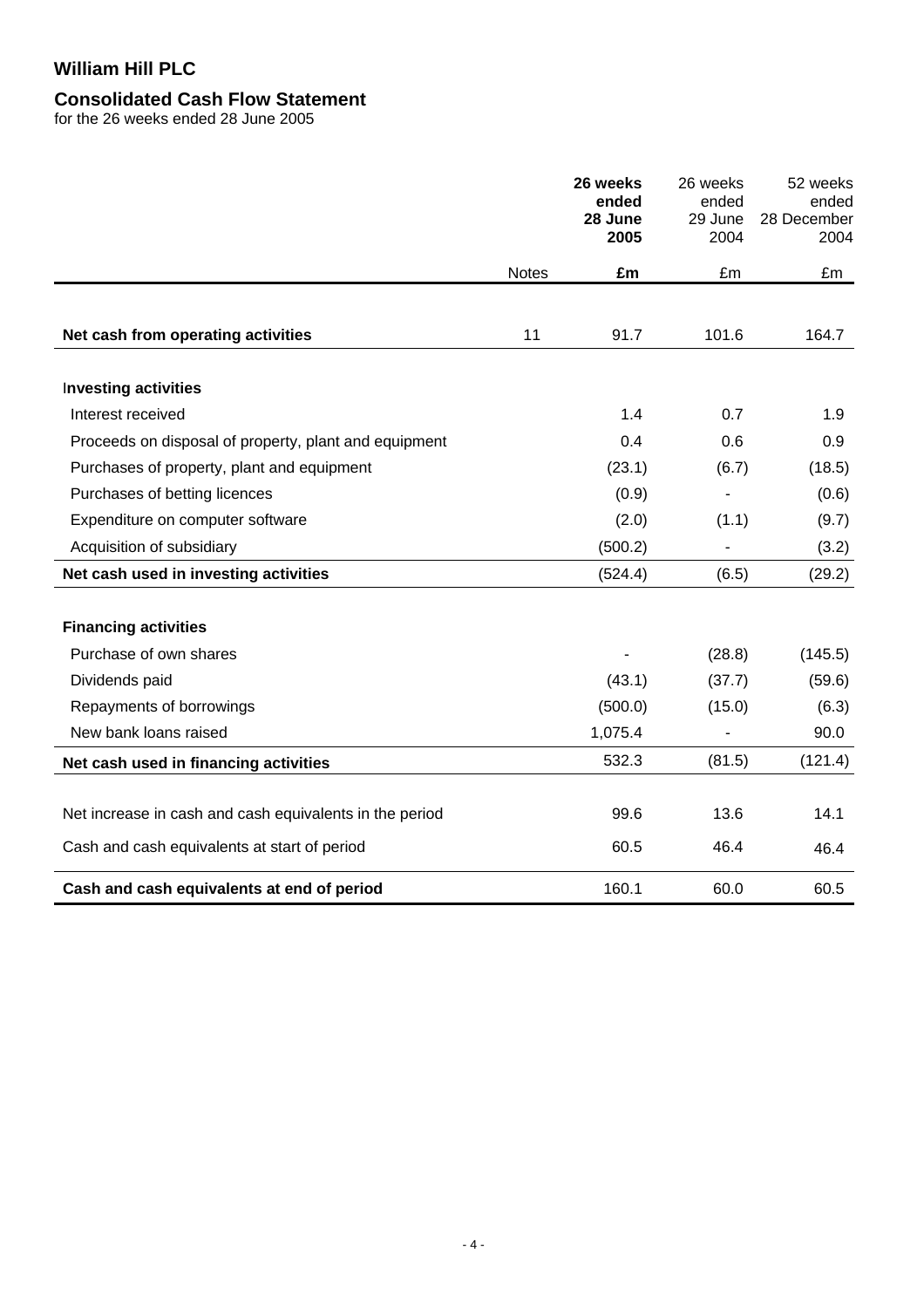# **Consolidated Cash Flow Statement**

for the 26 weeks ended 28 June 2005

|                                                         |              | 26 weeks<br>ended<br>28 June<br>2005 | 26 weeks<br>ended<br>29 June<br>2004 | 52 weeks<br>ended<br>28 December<br>2004 |
|---------------------------------------------------------|--------------|--------------------------------------|--------------------------------------|------------------------------------------|
|                                                         | <b>Notes</b> | £m                                   | £m                                   | £m                                       |
|                                                         |              |                                      |                                      |                                          |
| Net cash from operating activities                      | 11           | 91.7                                 | 101.6                                | 164.7                                    |
| <b>Investing activities</b>                             |              |                                      |                                      |                                          |
| Interest received                                       |              | 1.4                                  | 0.7                                  | 1.9                                      |
| Proceeds on disposal of property, plant and equipment   |              | 0.4                                  | 0.6                                  | 0.9                                      |
| Purchases of property, plant and equipment              |              | (23.1)                               | (6.7)                                | (18.5)                                   |
| Purchases of betting licences                           |              | (0.9)                                |                                      | (0.6)                                    |
| Expenditure on computer software                        |              | (2.0)                                | (1.1)                                | (9.7)                                    |
| Acquisition of subsidiary                               |              | (500.2)                              |                                      | (3.2)                                    |
| Net cash used in investing activities                   |              | (524.4)                              | (6.5)                                | (29.2)                                   |
|                                                         |              |                                      |                                      |                                          |
| <b>Financing activities</b>                             |              |                                      |                                      |                                          |
| Purchase of own shares                                  |              |                                      | (28.8)                               | (145.5)                                  |
| Dividends paid                                          |              | (43.1)                               | (37.7)                               | (59.6)                                   |
| Repayments of borrowings                                |              | (500.0)                              | (15.0)                               | (6.3)                                    |
| New bank loans raised                                   |              | 1,075.4                              |                                      | 90.0                                     |
| Net cash used in financing activities                   |              | 532.3                                | (81.5)                               | (121.4)                                  |
|                                                         |              |                                      |                                      |                                          |
| Net increase in cash and cash equivalents in the period |              | 99.6                                 | 13.6                                 | 14.1                                     |
| Cash and cash equivalents at start of period            |              | 60.5                                 | 46.4                                 | 46.4                                     |
| Cash and cash equivalents at end of period              |              | 160.1                                | 60.0                                 | 60.5                                     |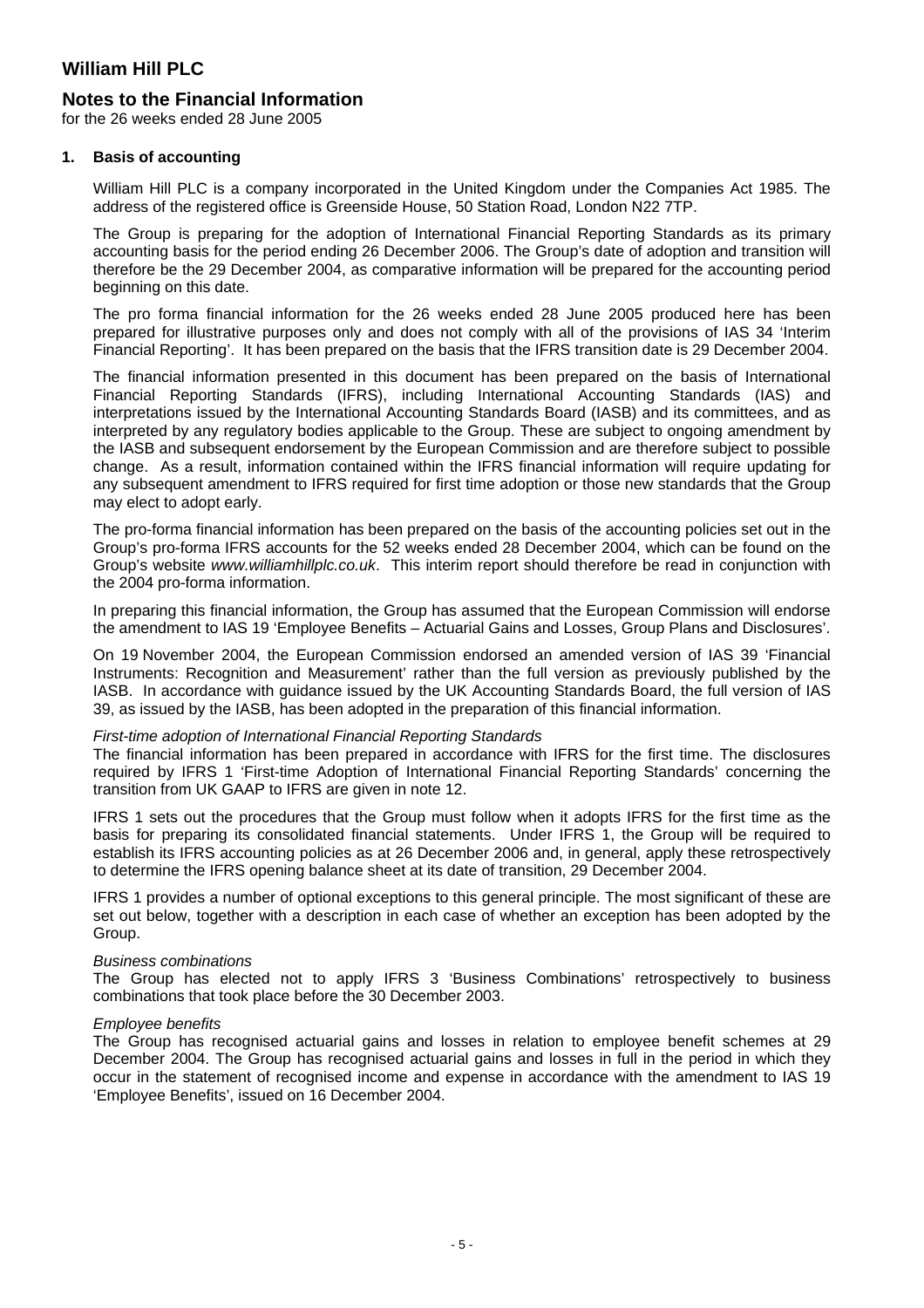### **Notes to the Financial Information**

for the 26 weeks ended 28 June 2005

#### **1. Basis of accounting**

William Hill PLC is a company incorporated in the United Kingdom under the Companies Act 1985. The address of the registered office is Greenside House, 50 Station Road, London N22 7TP.

The Group is preparing for the adoption of International Financial Reporting Standards as its primary accounting basis for the period ending 26 December 2006. The Group's date of adoption and transition will therefore be the 29 December 2004, as comparative information will be prepared for the accounting period beginning on this date.

The pro forma financial information for the 26 weeks ended 28 June 2005 produced here has been prepared for illustrative purposes only and does not comply with all of the provisions of IAS 34 'Interim Financial Reporting'. It has been prepared on the basis that the IFRS transition date is 29 December 2004.

The financial information presented in this document has been prepared on the basis of International Financial Reporting Standards (IFRS), including International Accounting Standards (IAS) and interpretations issued by the International Accounting Standards Board (IASB) and its committees, and as interpreted by any regulatory bodies applicable to the Group. These are subject to ongoing amendment by the IASB and subsequent endorsement by the European Commission and are therefore subject to possible change. As a result, information contained within the IFRS financial information will require updating for any subsequent amendment to IFRS required for first time adoption or those new standards that the Group may elect to adopt early.

The pro-forma financial information has been prepared on the basis of the accounting policies set out in the Group's pro-forma IFRS accounts for the 52 weeks ended 28 December 2004, which can be found on the Group's website *www.williamhillplc.co.uk*. This interim report should therefore be read in conjunction with the 2004 pro-forma information.

In preparing this financial information, the Group has assumed that the European Commission will endorse the amendment to IAS 19 'Employee Benefits – Actuarial Gains and Losses, Group Plans and Disclosures'.

On 19 November 2004, the European Commission endorsed an amended version of IAS 39 'Financial Instruments: Recognition and Measurement' rather than the full version as previously published by the IASB. In accordance with guidance issued by the UK Accounting Standards Board, the full version of IAS 39, as issued by the IASB, has been adopted in the preparation of this financial information.

#### *First-time adoption of International Financial Reporting Standards*

The financial information has been prepared in accordance with IFRS for the first time. The disclosures required by IFRS 1 'First-time Adoption of International Financial Reporting Standards' concerning the transition from UK GAAP to IFRS are given in note 12.

IFRS 1 sets out the procedures that the Group must follow when it adopts IFRS for the first time as the basis for preparing its consolidated financial statements. Under IFRS 1, the Group will be required to establish its IFRS accounting policies as at 26 December 2006 and, in general, apply these retrospectively to determine the IFRS opening balance sheet at its date of transition, 29 December 2004.

IFRS 1 provides a number of optional exceptions to this general principle. The most significant of these are set out below, together with a description in each case of whether an exception has been adopted by the Group.

#### *Business combinations*

The Group has elected not to apply IFRS 3 'Business Combinations' retrospectively to business combinations that took place before the 30 December 2003.

#### *Employee benefits*

The Group has recognised actuarial gains and losses in relation to employee benefit schemes at 29 December 2004. The Group has recognised actuarial gains and losses in full in the period in which they occur in the statement of recognised income and expense in accordance with the amendment to IAS 19 'Employee Benefits', issued on 16 December 2004.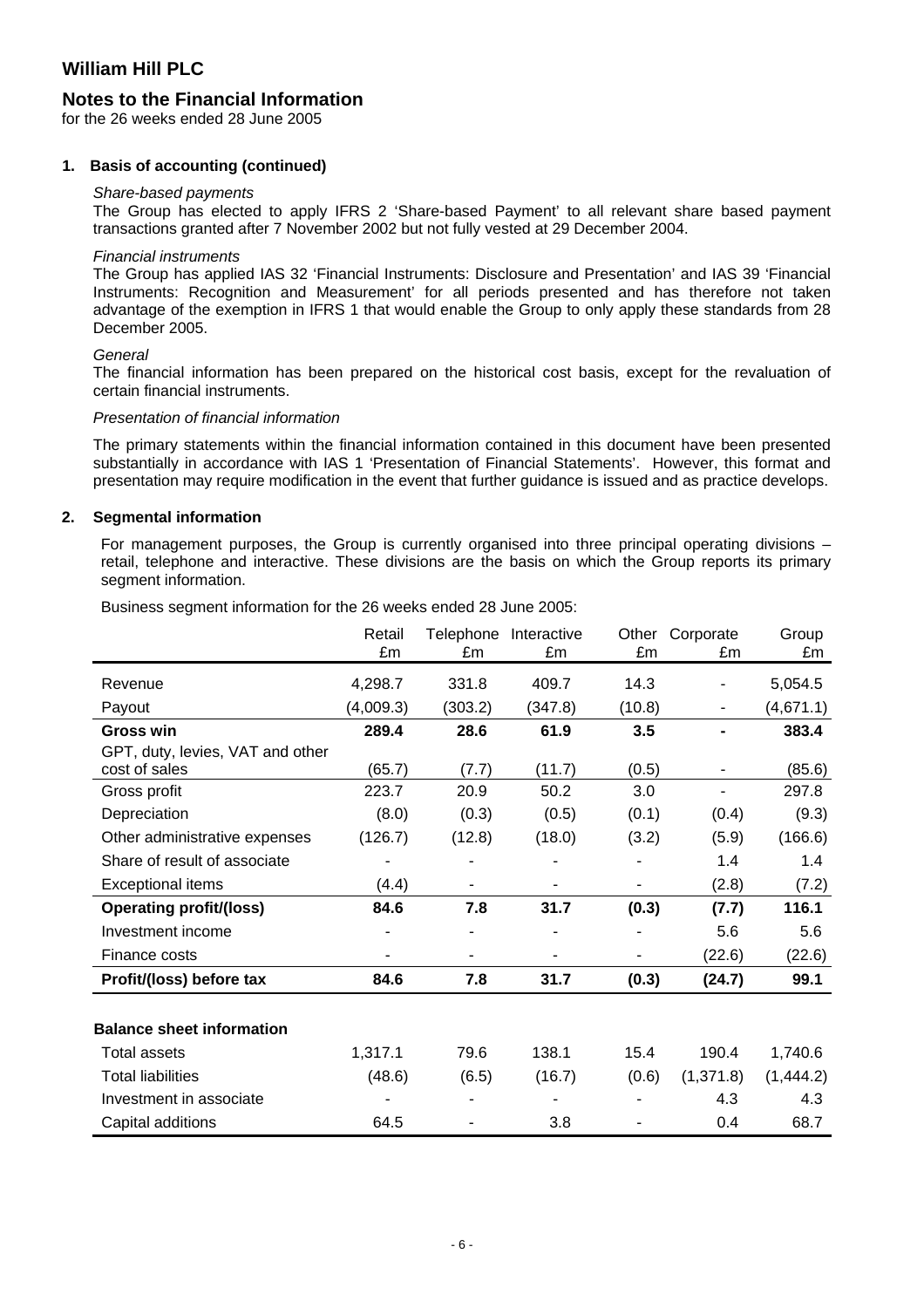### **Notes to the Financial Information**

for the 26 weeks ended 28 June 2005

#### **1. Basis of accounting (continued)**

#### *Share-based payments*

The Group has elected to apply IFRS 2 'Share-based Payment' to all relevant share based payment transactions granted after 7 November 2002 but not fully vested at 29 December 2004.

#### *Financial instruments*

The Group has applied IAS 32 'Financial Instruments: Disclosure and Presentation' and IAS 39 'Financial Instruments: Recognition and Measurement' for all periods presented and has therefore not taken advantage of the exemption in IFRS 1 that would enable the Group to only apply these standards from 28 December 2005.

#### *General*

The financial information has been prepared on the historical cost basis, except for the revaluation of certain financial instruments.

#### *Presentation of financial information*

The primary statements within the financial information contained in this document have been presented substantially in accordance with IAS 1 'Presentation of Financial Statements'. However, this format and presentation may require modification in the event that further guidance is issued and as practice develops.

#### **2. Segmental information**

For management purposes, the Group is currently organised into three principal operating divisions – retail, telephone and interactive. These divisions are the basis on which the Group reports its primary segment information.

Business segment information for the 26 weeks ended 28 June 2005:

|                                  | Retail<br>£m | Telephone<br>£m | Interactive<br>£m | Other<br>£m | Corporate<br>£m | Group<br>£m |
|----------------------------------|--------------|-----------------|-------------------|-------------|-----------------|-------------|
|                                  |              |                 |                   |             |                 |             |
| Revenue                          | 4,298.7      | 331.8           | 409.7             | 14.3        |                 | 5,054.5     |
| Payout                           | (4,009.3)    | (303.2)         | (347.8)           | (10.8)      |                 | (4,671.1)   |
| <b>Gross win</b>                 | 289.4        | 28.6            | 61.9              | 3.5         |                 | 383.4       |
| GPT, duty, levies, VAT and other |              |                 |                   |             |                 |             |
| cost of sales                    | (65.7)       | (7.7)           | (11.7)            | (0.5)       |                 | (85.6)      |
| Gross profit                     | 223.7        | 20.9            | 50.2              | 3.0         |                 | 297.8       |
| Depreciation                     | (8.0)        | (0.3)           | (0.5)             | (0.1)       | (0.4)           | (9.3)       |
| Other administrative expenses    | (126.7)      | (12.8)          | (18.0)            | (3.2)       | (5.9)           | (166.6)     |
| Share of result of associate     |              | -               |                   | ۰           | 1.4             | 1.4         |
| <b>Exceptional items</b>         | (4.4)        |                 |                   |             | (2.8)           | (7.2)       |
| <b>Operating profit/(loss)</b>   | 84.6         | 7.8             | 31.7              | (0.3)       | (7.7)           | 116.1       |
| Investment income                |              |                 |                   |             | 5.6             | 5.6         |
| Finance costs                    |              |                 |                   |             | (22.6)          | (22.6)      |
| Profit/(loss) before tax         | 84.6         | 7.8             | 31.7              | (0.3)       | (24.7)          | 99.1        |
|                                  |              |                 |                   |             |                 |             |
| <b>Balance sheet information</b> |              |                 |                   |             |                 |             |
| <b>Total assets</b>              | 1,317.1      | 79.6            | 138.1             | 15.4        | 190.4           | 1,740.6     |
| <b>Total liabilities</b>         | (48.6)       | (6.5)           | (16.7)            | (0.6)       | (1, 371.8)      | (1,444.2)   |
| Investment in associate          |              |                 |                   |             | 4.3             | 4.3         |
| Capital additions                | 64.5         |                 | 3.8               |             | 0.4             | 68.7        |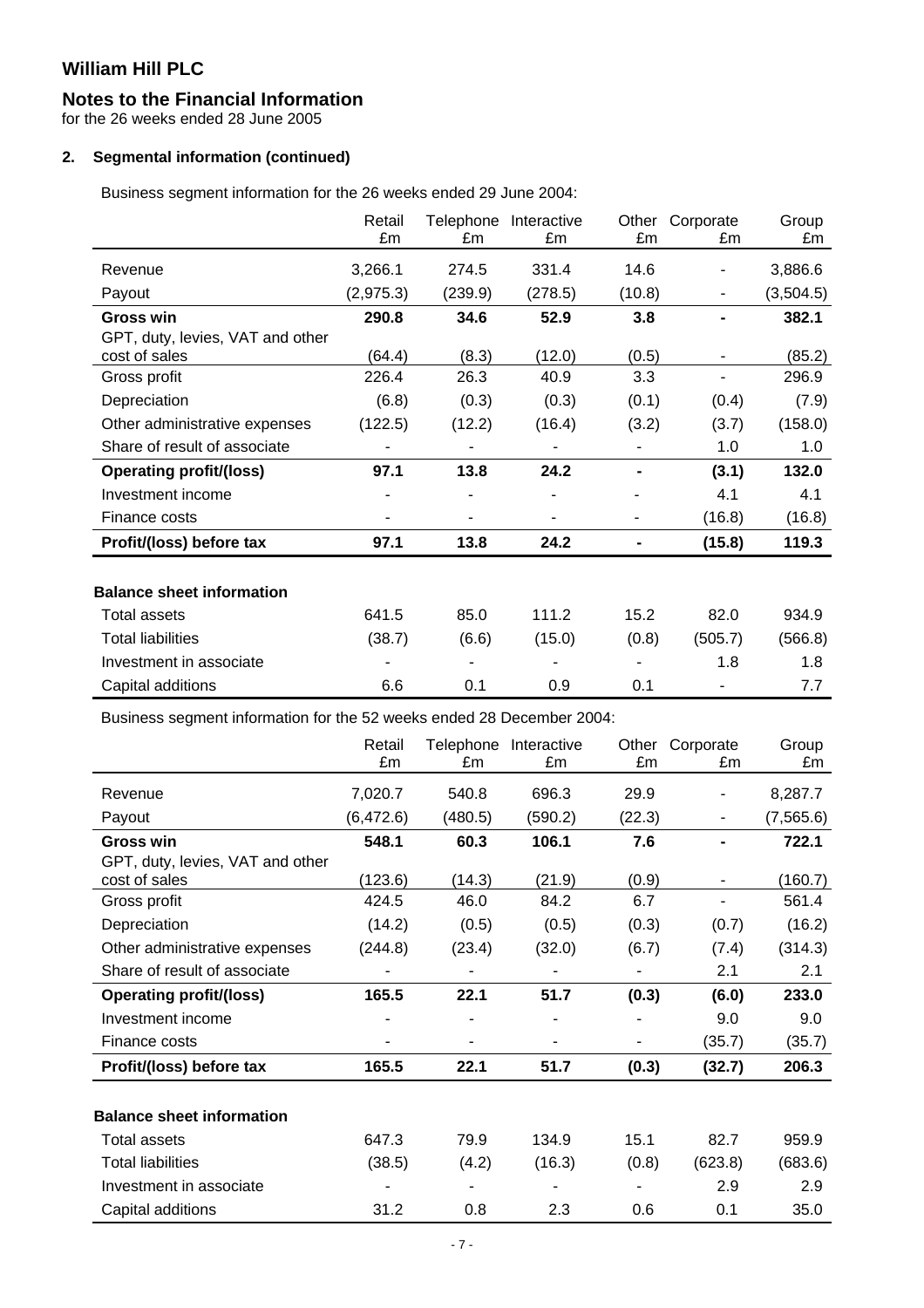### **Notes to the Financial Information**

for the 26 weeks ended 28 June 2005

### **2. Segmental information (continued)**

Business segment information for the 26 weeks ended 29 June 2004:

|                                                                       | Retail    | Telephone | Interactive           | Other  | Corporate | Group     |
|-----------------------------------------------------------------------|-----------|-----------|-----------------------|--------|-----------|-----------|
|                                                                       | £m        | £m        | £m                    | £m     | £m        | £m        |
| Revenue                                                               | 3,266.1   | 274.5     | 331.4                 | 14.6   |           | 3,886.6   |
| Payout                                                                | (2,975.3) | (239.9)   | (278.5)               | (10.8) |           | (3,504.5) |
| <b>Gross win</b>                                                      | 290.8     | 34.6      | 52.9                  | 3.8    |           | 382.1     |
| GPT, duty, levies, VAT and other                                      |           |           |                       |        |           |           |
| cost of sales                                                         | (64.4)    | (8.3)     | (12.0)                | (0.5)  | ٠         | (85.2)    |
| Gross profit                                                          | 226.4     | 26.3      | 40.9                  | 3.3    |           | 296.9     |
| Depreciation                                                          | (6.8)     | (0.3)     | (0.3)                 | (0.1)  | (0.4)     | (7.9)     |
| Other administrative expenses                                         | (122.5)   | (12.2)    | (16.4)                | (3.2)  | (3.7)     | (158.0)   |
| Share of result of associate                                          |           |           |                       |        | 1.0       | 1.0       |
| <b>Operating profit/(loss)</b>                                        | 97.1      | 13.8      | 24.2                  |        | (3.1)     | 132.0     |
| Investment income                                                     |           |           |                       |        | 4.1       | 4.1       |
| Finance costs                                                         |           |           |                       | ۰      | (16.8)    | (16.8)    |
| Profit/(loss) before tax                                              | 97.1      | 13.8      | 24.2                  | Ξ.     | (15.8)    | 119.3     |
|                                                                       |           |           |                       |        |           |           |
| <b>Balance sheet information</b>                                      |           |           |                       |        |           |           |
| <b>Total assets</b>                                                   | 641.5     | 85.0      | 111.2                 | 15.2   | 82.0      | 934.9     |
| <b>Total liabilities</b>                                              | (38.7)    | (6.6)     | (15.0)                | (0.8)  | (505.7)   | (566.8)   |
| Investment in associate                                               |           |           |                       |        | 1.8       | 1.8       |
| Capital additions                                                     | 6.6       | 0.1       | 0.9                   | 0.1    |           | 7.7       |
| Business segment information for the 52 weeks ended 28 December 2004: |           |           |                       |        |           |           |
|                                                                       | Retail    |           | Telephone Interactive | Other  | Corporate | Group     |
|                                                                       | £m        | £m        | £m                    | £m     | £m        | £m        |

|                                                   | , , , , , , , , ,<br>£m | £m      | roiophono muoraouvo<br>£m | <b>VUIVI</b><br>£m       | <b>POIPOIDIO</b><br>£m | <b>UIUUP</b><br>£m |
|---------------------------------------------------|-------------------------|---------|---------------------------|--------------------------|------------------------|--------------------|
| Revenue                                           | 7,020.7                 | 540.8   | 696.3                     | 29.9                     |                        | 8,287.7            |
| Payout                                            | (6, 472.6)              | (480.5) | (590.2)                   | (22.3)                   | ۰                      | (7, 565.6)         |
| <b>Gross win</b>                                  | 548.1                   | 60.3    | 106.1                     | 7.6                      |                        | 722.1              |
| GPT, duty, levies, VAT and other<br>cost of sales | (123.6)                 | (14.3)  | (21.9)                    | (0.9)                    |                        | (160.7)            |
| Gross profit                                      | 424.5                   | 46.0    | 84.2                      | 6.7                      |                        | 561.4              |
| Depreciation                                      | (14.2)                  | (0.5)   | (0.5)                     | (0.3)                    | (0.7)                  | (16.2)             |
| Other administrative expenses                     | (244.8)                 | (23.4)  | (32.0)                    | (6.7)                    | (7.4)                  | (314.3)            |
| Share of result of associate                      |                         |         |                           |                          | 2.1                    | 2.1                |
| <b>Operating profit/(loss)</b>                    | 165.5                   | 22.1    | 51.7                      | (0.3)                    | (6.0)                  | 233.0              |
| Investment income                                 |                         |         |                           |                          | 9.0                    | 9.0                |
| Finance costs                                     |                         | ۰       |                           | $\overline{\phantom{0}}$ | (35.7)                 | (35.7)             |
| Profit/(loss) before tax                          | 165.5                   | 22.1    | 51.7                      | (0.3)                    | (32.7)                 | 206.3              |
| <b>Balance sheet information</b>                  |                         |         |                           |                          |                        |                    |
| <b>Total assets</b>                               | 647.3                   | 79.9    | 134.9                     | 15.1                     | 82.7                   | 959.9              |
| <b>Total liabilities</b>                          | (38.5)                  | (4.2)   | (16.3)                    | (0.8)                    | (623.8)                | (683.6)            |
| Investment in associate                           |                         |         |                           |                          | 2.9                    | 2.9                |
| Capital additions                                 | 31.2                    | 0.8     | 2.3                       | 0.6                      | 0.1                    | 35.0               |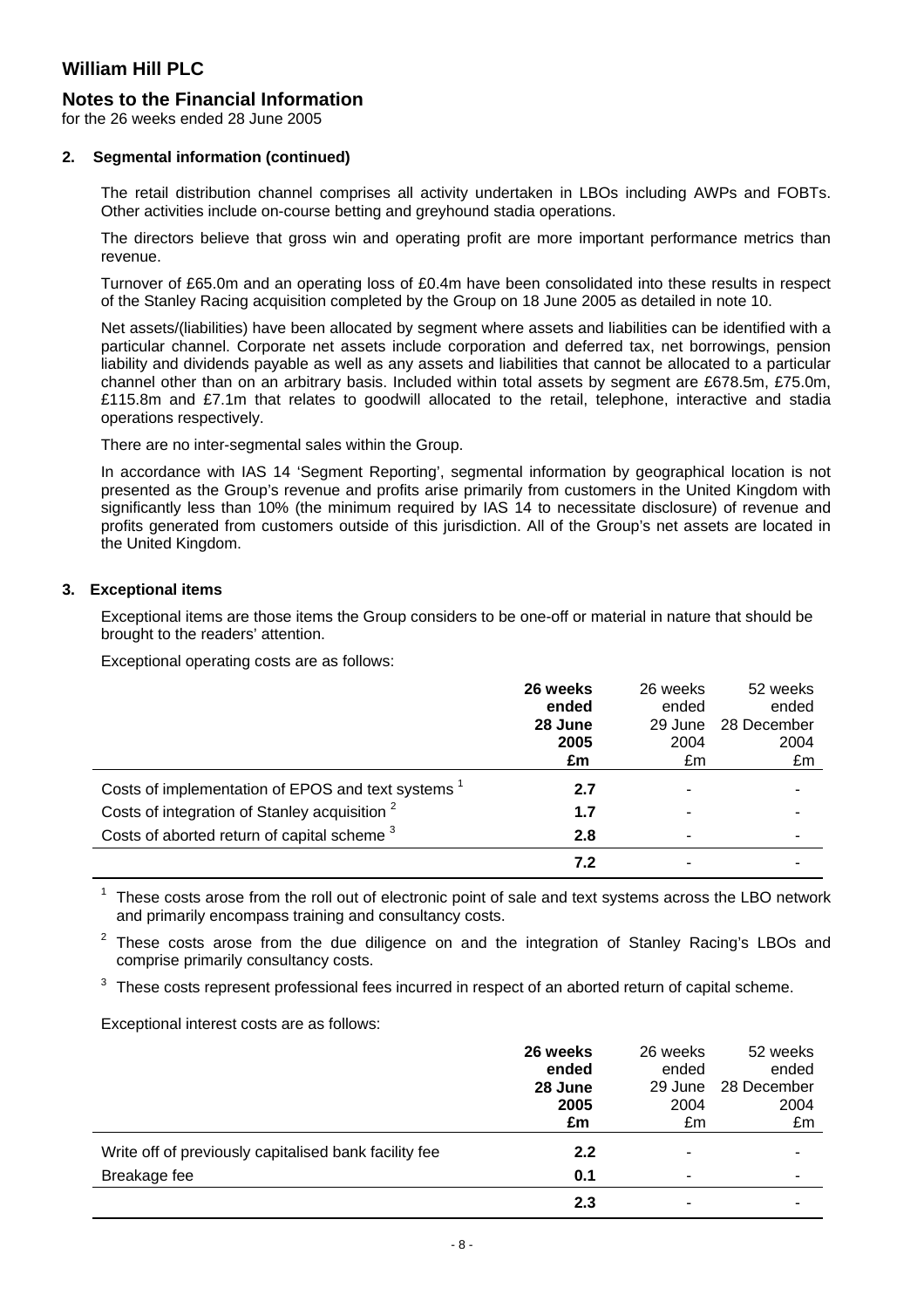### **Notes to the Financial Information**

for the 26 weeks ended 28 June 2005

#### **2. Segmental information (continued)**

The retail distribution channel comprises all activity undertaken in LBOs including AWPs and FOBTs. Other activities include on-course betting and greyhound stadia operations.

The directors believe that gross win and operating profit are more important performance metrics than revenue.

Turnover of £65.0m and an operating loss of £0.4m have been consolidated into these results in respect of the Stanley Racing acquisition completed by the Group on 18 June 2005 as detailed in note 10.

Net assets/(liabilities) have been allocated by segment where assets and liabilities can be identified with a particular channel. Corporate net assets include corporation and deferred tax, net borrowings, pension liability and dividends payable as well as any assets and liabilities that cannot be allocated to a particular channel other than on an arbitrary basis. Included within total assets by segment are £678.5m, £75.0m, £115.8m and £7.1m that relates to goodwill allocated to the retail, telephone, interactive and stadia operations respectively.

There are no inter-segmental sales within the Group.

In accordance with IAS 14 'Segment Reporting', segmental information by geographical location is not presented as the Group's revenue and profits arise primarily from customers in the United Kingdom with significantly less than 10% (the minimum required by IAS 14 to necessitate disclosure) of revenue and profits generated from customers outside of this jurisdiction. All of the Group's net assets are located in the United Kingdom.

#### **3. Exceptional items**

Exceptional items are those items the Group considers to be one-off or material in nature that should be brought to the readers' attention.

Exceptional operating costs are as follows:

|                                                          | 26 weeks | 26 weeks | 52 weeks    |
|----------------------------------------------------------|----------|----------|-------------|
|                                                          | ended    | ended    | ended       |
|                                                          | 28 June  | 29 June  | 28 December |
|                                                          | 2005     | 2004     | 2004        |
|                                                          | £m       | £m       | £m          |
| Costs of implementation of EPOS and text systems         | 2.7      |          |             |
| Costs of integration of Stanley acquisition <sup>2</sup> | 1.7      |          |             |
| Costs of aborted return of capital scheme <sup>3</sup>   | 2.8      |          |             |
|                                                          | 7.2      |          |             |

 $1$  These costs arose from the roll out of electronic point of sale and text systems across the LBO network and primarily encompass training and consultancy costs.

These costs arose from the due diligence on and the integration of Stanley Racing's LBOs and comprise primarily consultancy costs.

These costs represent professional fees incurred in respect of an aborted return of capital scheme.

Exceptional interest costs are as follows:

|                                                       | 26 weeks<br>ended<br>28 June<br>2005 | 26 weeks<br>ended<br>29 June<br>2004 | 52 weeks<br>ended<br>28 December<br>2004 |
|-------------------------------------------------------|--------------------------------------|--------------------------------------|------------------------------------------|
|                                                       | £m                                   | £m                                   | £m                                       |
| Write off of previously capitalised bank facility fee | 2.2                                  | -                                    |                                          |
| Breakage fee                                          | 0.1                                  | -                                    | ۰                                        |
|                                                       | 2.3                                  |                                      |                                          |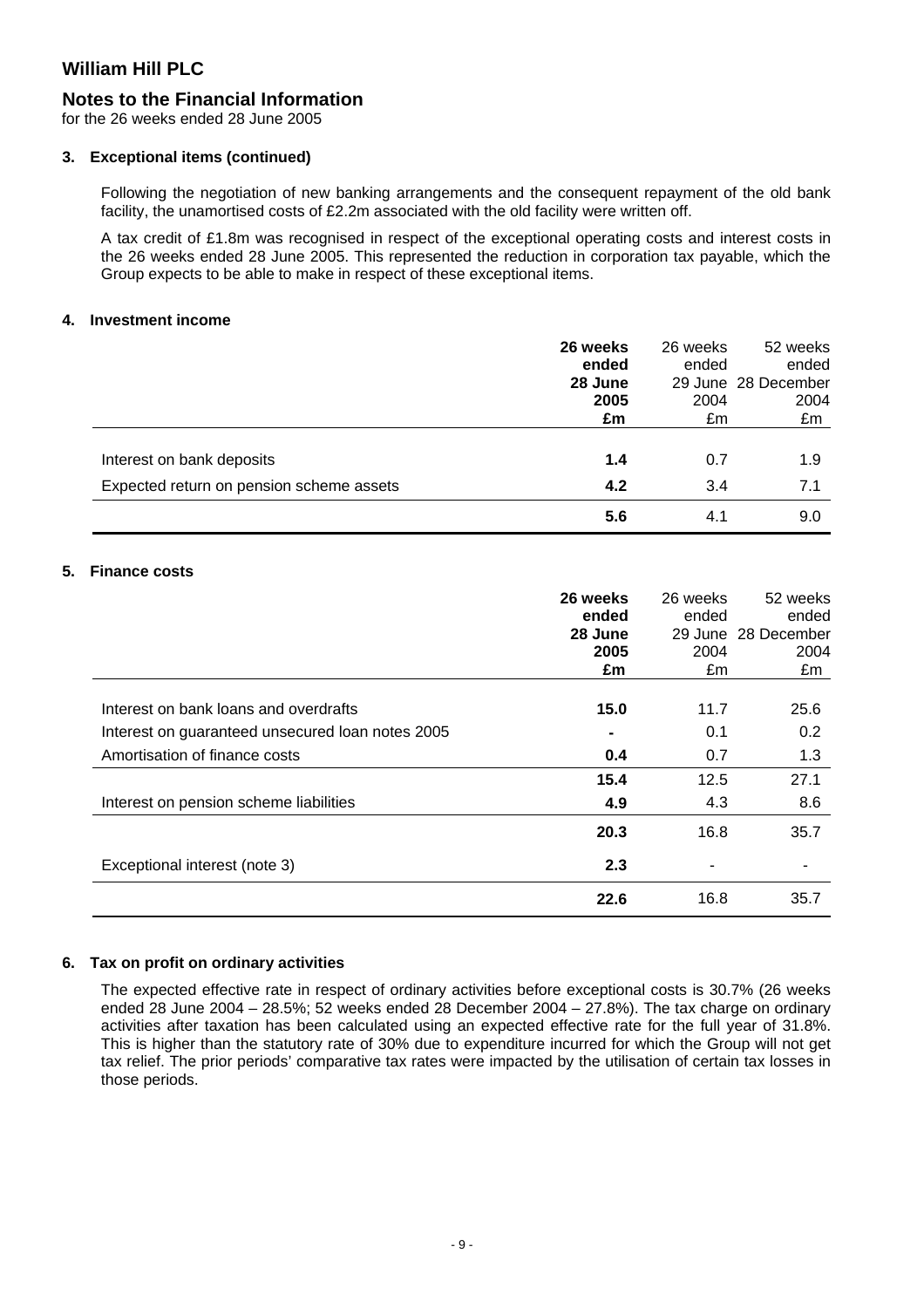### **Notes to the Financial Information**

for the 26 weeks ended 28 June 2005

#### **3. Exceptional items (continued)**

Following the negotiation of new banking arrangements and the consequent repayment of the old bank facility, the unamortised costs of £2.2m associated with the old facility were written off.

A tax credit of £1.8m was recognised in respect of the exceptional operating costs and interest costs in the 26 weeks ended 28 June 2005. This represented the reduction in corporation tax payable, which the Group expects to be able to make in respect of these exceptional items.

#### **4. Investment income**

|                                          | 26 weeks | 26 weeks | 52 weeks            |
|------------------------------------------|----------|----------|---------------------|
|                                          | ended    | ended    | ended               |
|                                          | 28 June  |          | 29 June 28 December |
|                                          | 2005     | 2004     | 2004                |
|                                          | £m       | £m       | £m                  |
|                                          |          |          |                     |
| Interest on bank deposits                | 1.4      | 0.7      | 1.9                 |
| Expected return on pension scheme assets | 4.2      | 3.4      | 7.1                 |
|                                          | 5.6      | 4.1      | 9.0                 |

### **5. Finance costs**

|                                                  | 26 weeks | 26 weeks | 52 weeks            |
|--------------------------------------------------|----------|----------|---------------------|
|                                                  | ended    | ended    | ended               |
|                                                  | 28 June  |          | 29 June 28 December |
|                                                  | 2005     | 2004     | 2004                |
|                                                  | £m       | £m       | £m                  |
|                                                  |          |          |                     |
| Interest on bank loans and overdrafts            | 15.0     | 11.7     | 25.6                |
| Interest on guaranteed unsecured loan notes 2005 |          | 0.1      | 0.2                 |
| Amortisation of finance costs                    | 0.4      | 0.7      | 1.3                 |
|                                                  | 15.4     | 12.5     | 27.1                |
| Interest on pension scheme liabilities           | 4.9      | 4.3      | 8.6                 |
|                                                  | 20.3     | 16.8     | 35.7                |
| Exceptional interest (note 3)                    | 2.3      | -        |                     |
|                                                  | 22.6     | 16.8     | 35.7                |

#### **6. Tax on profit on ordinary activities**

The expected effective rate in respect of ordinary activities before exceptional costs is 30.7% (26 weeks ended 28 June 2004 – 28.5%; 52 weeks ended 28 December 2004 – 27.8%). The tax charge on ordinary activities after taxation has been calculated using an expected effective rate for the full year of 31.8%. This is higher than the statutory rate of 30% due to expenditure incurred for which the Group will not get tax relief. The prior periods' comparative tax rates were impacted by the utilisation of certain tax losses in those periods.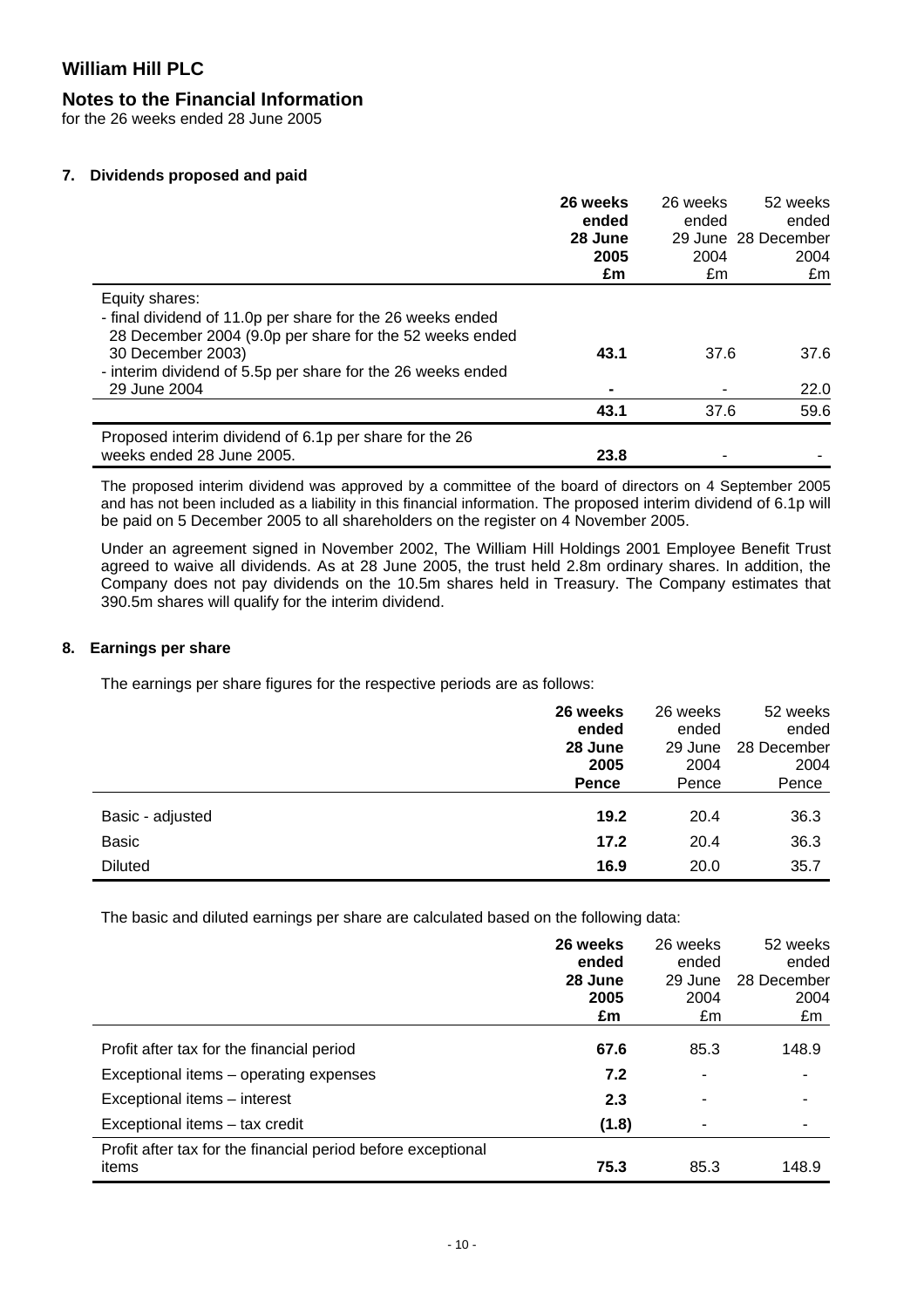### **Notes to the Financial Information**

for the 26 weeks ended 28 June 2005

#### **7. Dividends proposed and paid**

|                                                                                                                                                                                                                                             | 26 weeks<br>ended<br>28 June<br>2005<br>£m | 26 weeks<br>ended<br>2004<br>£m | 52 weeks<br>ended<br>29 June 28 December<br>2004<br>£m |
|---------------------------------------------------------------------------------------------------------------------------------------------------------------------------------------------------------------------------------------------|--------------------------------------------|---------------------------------|--------------------------------------------------------|
| Equity shares:<br>- final dividend of 11.0p per share for the 26 weeks ended<br>28 December 2004 (9.0p per share for the 52 weeks ended<br>30 December 2003)<br>- interim dividend of 5.5p per share for the 26 weeks ended<br>29 June 2004 | 43.1<br>$\blacksquare$                     | 37.6                            | 37.6<br>22.0                                           |
|                                                                                                                                                                                                                                             | 43.1                                       | 37.6                            | 59.6                                                   |
| Proposed interim dividend of 6.1p per share for the 26<br>weeks ended 28 June 2005.                                                                                                                                                         | 23.8                                       |                                 |                                                        |

The proposed interim dividend was approved by a committee of the board of directors on 4 September 2005 and has not been included as a liability in this financial information. The proposed interim dividend of 6.1p will be paid on 5 December 2005 to all shareholders on the register on 4 November 2005.

Under an agreement signed in November 2002, The William Hill Holdings 2001 Employee Benefit Trust agreed to waive all dividends. As at 28 June 2005, the trust held 2.8m ordinary shares. In addition, the Company does not pay dividends on the 10.5m shares held in Treasury. The Company estimates that 390.5m shares will qualify for the interim dividend.

#### **8. Earnings per share**

The earnings per share figures for the respective periods are as follows:

|                  | 26 weeks | 26 weeks | 52 weeks    |
|------------------|----------|----------|-------------|
|                  | ended    | ended    | ended       |
|                  | 28 June  | 29 June  | 28 December |
|                  | 2005     | 2004     | 2004        |
|                  | Pence    | Pence    | Pence       |
| Basic - adjusted | 19.2     | 20.4     | 36.3        |
| <b>Basic</b>     | 17.2     | 20.4     | 36.3        |
| <b>Diluted</b>   | 16.9     | 20.0     | 35.7        |

The basic and diluted earnings per share are calculated based on the following data:

|                                                                       | 26 weeks<br>ended<br>28 June<br>2005<br>£m | 26 weeks<br>ended<br>29 June<br>2004<br>£m | 52 weeks<br>ended<br>28 December<br>2004<br>£m |
|-----------------------------------------------------------------------|--------------------------------------------|--------------------------------------------|------------------------------------------------|
| Profit after tax for the financial period                             | 67.6                                       | 85.3                                       | 148.9                                          |
| Exceptional items - operating expenses                                | 7.2                                        |                                            |                                                |
| Exceptional items - interest                                          | 2.3                                        |                                            |                                                |
| Exceptional items - tax credit                                        | (1.8)                                      |                                            |                                                |
| Profit after tax for the financial period before exceptional<br>items | 75.3                                       | 85.3                                       | 148.9                                          |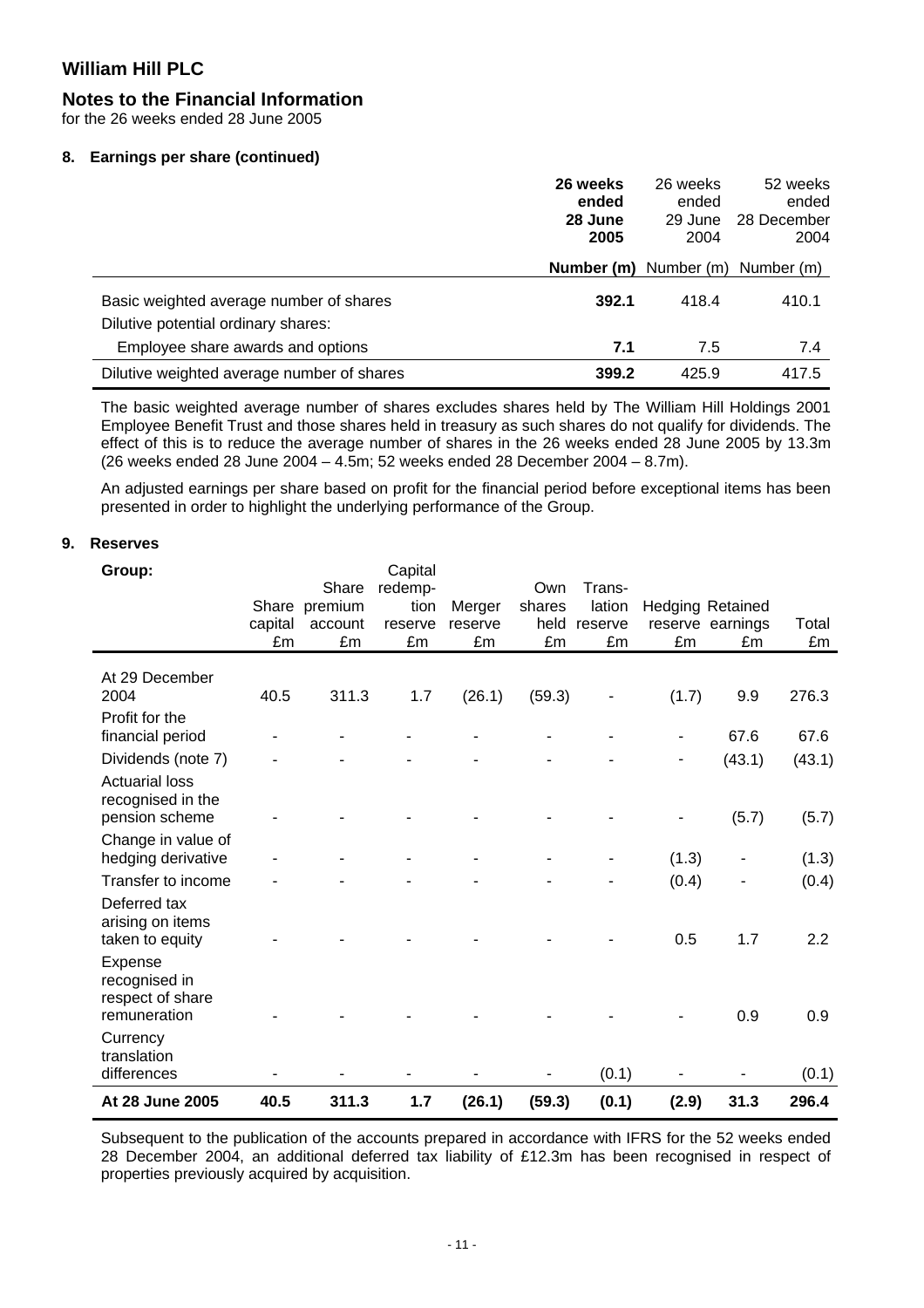### **Notes to the Financial Information**

for the 26 weeks ended 28 June 2005

#### **8. Earnings per share (continued)**

|                                                                                | 26 weeks<br>ended<br>28 June<br>2005 | 26 weeks<br>ended<br>29 June<br>2004 | 52 weeks<br>ended<br>28 December<br>2004 |
|--------------------------------------------------------------------------------|--------------------------------------|--------------------------------------|------------------------------------------|
|                                                                                | Number (m)                           | Number (m)                           | Number (m)                               |
| Basic weighted average number of shares<br>Dilutive potential ordinary shares: | 392.1                                | 418.4                                | 410.1                                    |
| Employee share awards and options                                              | 7.1                                  | 7.5                                  | 7.4                                      |
| Dilutive weighted average number of shares                                     | 399.2                                | 425.9                                | 417.5                                    |

The basic weighted average number of shares excludes shares held by The William Hill Holdings 2001 Employee Benefit Trust and those shares held in treasury as such shares do not qualify for dividends. The effect of this is to reduce the average number of shares in the 26 weeks ended 28 June 2005 by 13.3m (26 weeks ended 28 June 2004 – 4.5m; 52 weeks ended 28 December 2004 – 8.7m).

An adjusted earnings per share based on profit for the financial period before exceptional items has been presented in order to highlight the underlying performance of the Group.

#### **9. Reserves**

| Group:                                                                             | capital<br>£m | Share<br>Share premium<br>account<br>£m | Capital<br>redemp-<br>tion<br>reserve<br>£m | Merger<br>reserve<br>£m | Own<br>shares<br>held<br>£m | Trans-<br>lation<br>reserve<br>£m | £m           | <b>Hedging Retained</b><br>reserve earnings<br>£m | Total<br>£m  |
|------------------------------------------------------------------------------------|---------------|-----------------------------------------|---------------------------------------------|-------------------------|-----------------------------|-----------------------------------|--------------|---------------------------------------------------|--------------|
| At 29 December<br>2004                                                             | 40.5          | 311.3                                   | 1.7                                         | (26.1)                  | (59.3)                      |                                   | (1.7)        | 9.9                                               | 276.3        |
| Profit for the<br>financial period                                                 |               |                                         |                                             |                         |                             |                                   |              | 67.6                                              | 67.6         |
| Dividends (note 7)                                                                 |               |                                         |                                             |                         |                             |                                   |              | (43.1)                                            | (43.1)       |
| <b>Actuarial loss</b><br>recognised in the<br>pension scheme<br>Change in value of |               |                                         |                                             |                         |                             |                                   |              | (5.7)                                             | (5.7)        |
| hedging derivative                                                                 |               |                                         |                                             |                         |                             |                                   | (1.3)        |                                                   | (1.3)        |
| Transfer to income<br>Deferred tax<br>arising on items<br>taken to equity          |               |                                         |                                             |                         |                             |                                   | (0.4)<br>0.5 | 1.7                                               | (0.4)<br>2.2 |
| Expense<br>recognised in<br>respect of share<br>remuneration                       |               |                                         |                                             |                         |                             |                                   |              | 0.9                                               | 0.9          |
| Currency<br>translation<br>differences                                             |               |                                         |                                             |                         |                             | (0.1)                             |              |                                                   | (0.1)        |
| At 28 June 2005                                                                    | 40.5          | 311.3                                   | 1.7                                         | (26.1)                  | (59.3)                      | (0.1)                             | (2.9)        | 31.3                                              | 296.4        |

Subsequent to the publication of the accounts prepared in accordance with IFRS for the 52 weeks ended 28 December 2004, an additional deferred tax liability of £12.3m has been recognised in respect of properties previously acquired by acquisition.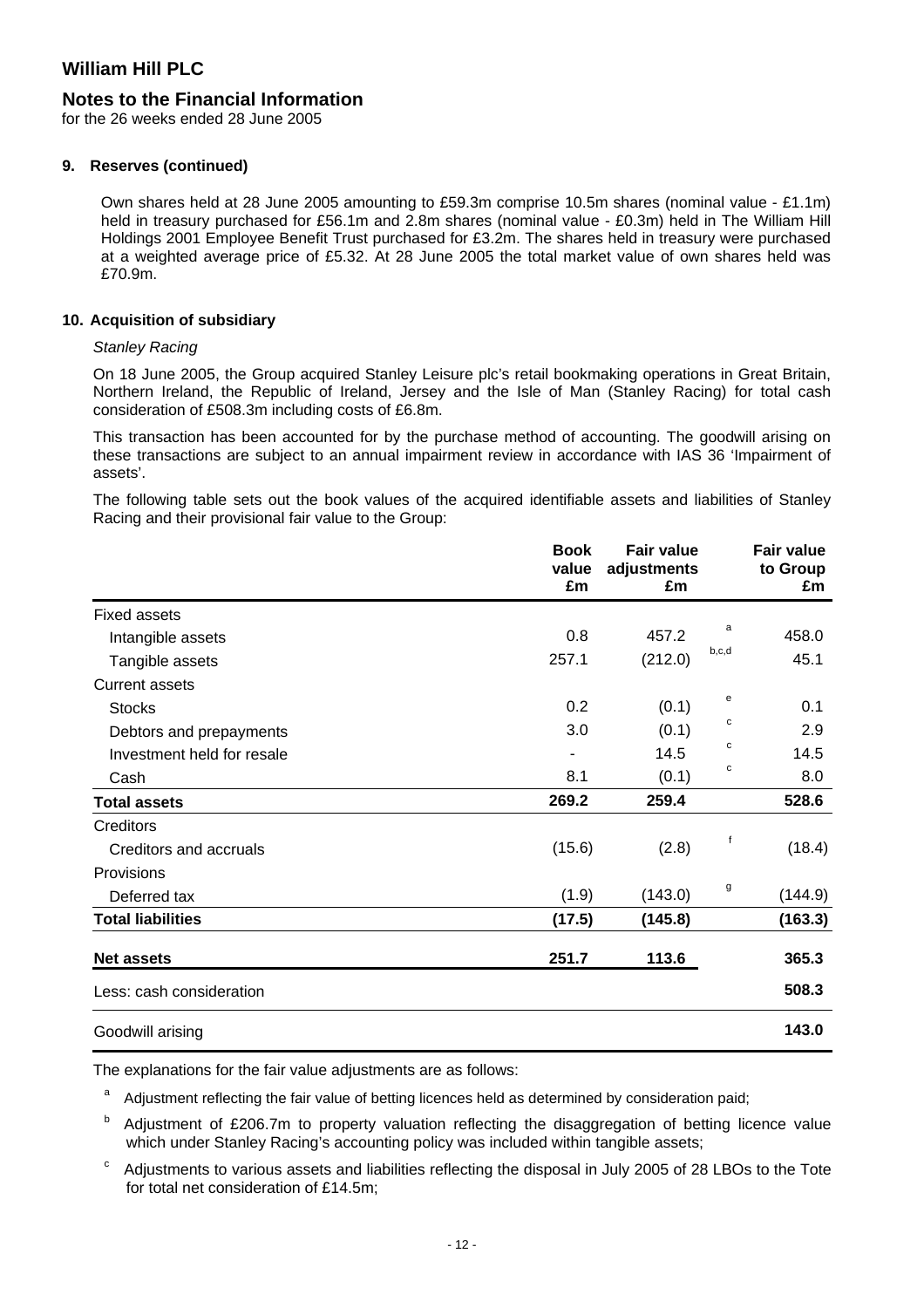### **Notes to the Financial Information**

for the 26 weeks ended 28 June 2005

#### **9. Reserves (continued)**

Own shares held at 28 June 2005 amounting to £59.3m comprise 10.5m shares (nominal value - £1.1m) held in treasury purchased for £56.1m and 2.8m shares (nominal value - £0.3m) held in The William Hill Holdings 2001 Employee Benefit Trust purchased for £3.2m. The shares held in treasury were purchased at a weighted average price of £5.32. At 28 June 2005 the total market value of own shares held was £70.9m.

#### **10. Acquisition of subsidiary**

#### *Stanley Racing*

On 18 June 2005, the Group acquired Stanley Leisure plc's retail bookmaking operations in Great Britain, Northern Ireland, the Republic of Ireland, Jersey and the Isle of Man (Stanley Racing) for total cash consideration of £508.3m including costs of £6.8m.

This transaction has been accounted for by the purchase method of accounting. The goodwill arising on these transactions are subject to an annual impairment review in accordance with IAS 36 'Impairment of assets'.

The following table sets out the book values of the acquired identifiable assets and liabilities of Stanley Racing and their provisional fair value to the Group:

|                            | <b>Book</b><br>value<br>£m | <b>Fair value</b><br>adjustments<br>£m |       | <b>Fair value</b><br>to Group<br>£m |
|----------------------------|----------------------------|----------------------------------------|-------|-------------------------------------|
| <b>Fixed assets</b>        |                            |                                        |       |                                     |
| Intangible assets          | 0.8                        | 457.2                                  | a     | 458.0                               |
| Tangible assets            | 257.1                      | (212.0)                                | b,c,d | 45.1                                |
| <b>Current assets</b>      |                            |                                        |       |                                     |
| <b>Stocks</b>              | 0.2                        | (0.1)                                  | е     | 0.1                                 |
| Debtors and prepayments    | 3.0                        | (0.1)                                  | с     | 2.9                                 |
| Investment held for resale |                            | 14.5                                   | с     | 14.5                                |
| Cash                       | 8.1                        | (0.1)                                  | С     | 8.0                                 |
| <b>Total assets</b>        | 269.2                      | 259.4                                  |       | 528.6                               |
| Creditors                  |                            |                                        |       |                                     |
| Creditors and accruals     | (15.6)                     | (2.8)                                  | f     | (18.4)                              |
| Provisions                 |                            |                                        |       |                                     |
| Deferred tax               | (1.9)                      | (143.0)                                | g     | (144.9)                             |
| <b>Total liabilities</b>   | (17.5)                     | (145.8)                                |       | (163.3)                             |
| <b>Net assets</b>          | 251.7                      | 113.6                                  |       | 365.3                               |
| Less: cash consideration   |                            |                                        |       | 508.3                               |
| Goodwill arising           |                            |                                        |       | 143.0                               |

The explanations for the fair value adjustments are as follows:

<sup>a</sup> Adjustment reflecting the fair value of betting licences held as determined by consideration paid;

Adjustment of £206.7m to property valuation reflecting the disaggregation of betting licence value which under Stanley Racing's accounting policy was included within tangible assets;

 $\degree$  Adjustments to various assets and liabilities reflecting the disposal in July 2005 of 28 LBOs to the Tote for total net consideration of £14.5m;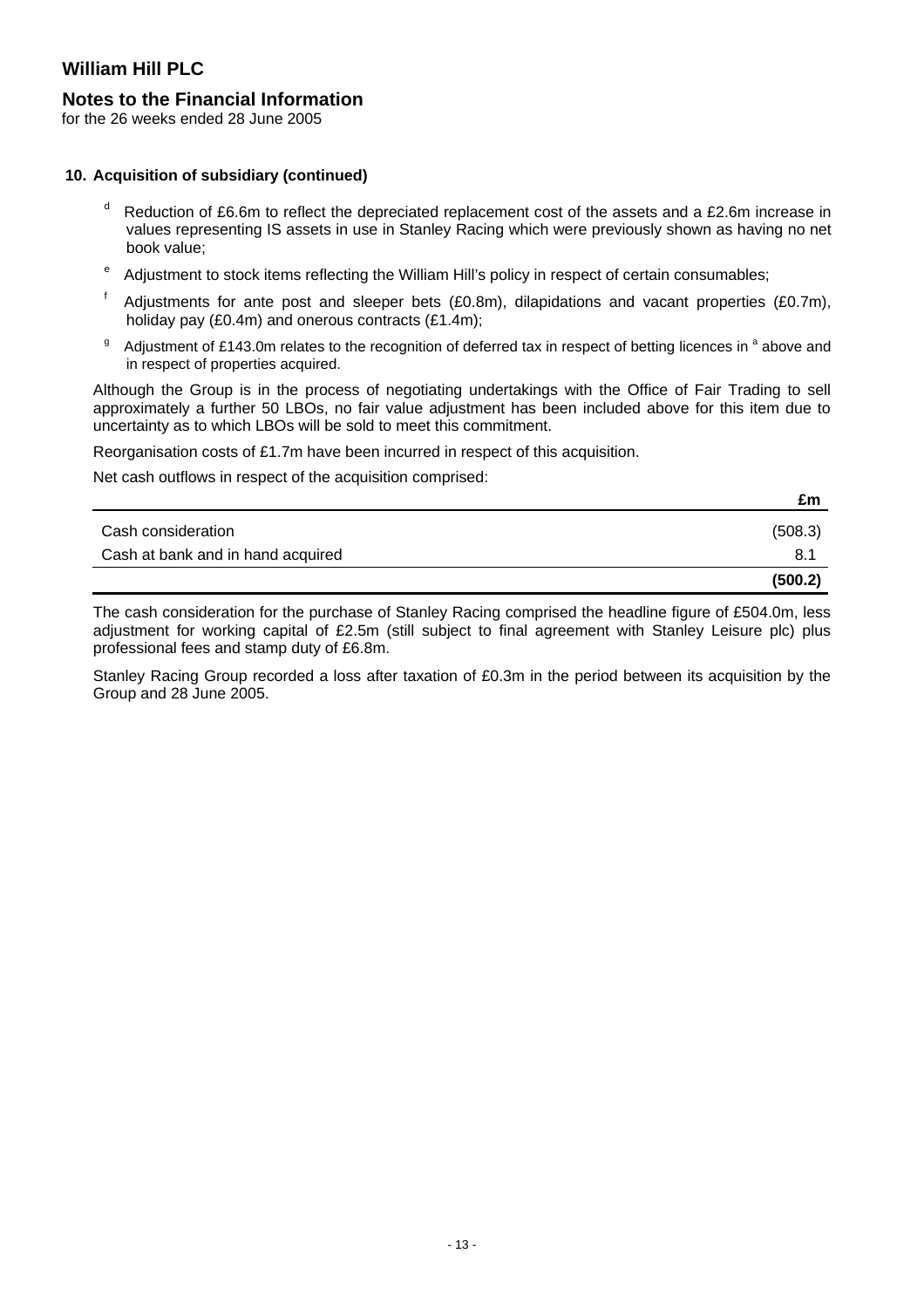### **Notes to the Financial Information**

for the 26 weeks ended 28 June 2005

#### **10. Acquisition of subsidiary (continued)**

- $d$  Reduction of £6.6m to reflect the depreciated replacement cost of the assets and a £2.6m increase in values representing IS assets in use in Stanley Racing which were previously shown as having no net book value;
- <sup>e</sup> Adjustment to stock items reflecting the William Hill's policy in respect of certain consumables;
- $<sup>f</sup>$  Adjustments for ante post and sleeper bets (£0.8m), dilapidations and vacant properties (£0.7m),</sup> holiday pay (£0.4m) and onerous contracts (£1.4m);
- <sup>g</sup> Adjustment of £143.0m relates to the recognition of deferred tax in respect of betting licences in <sup>a</sup> above and in respect of properties acquired.

Although the Group is in the process of negotiating undertakings with the Office of Fair Trading to sell approximately a further 50 LBOs, no fair value adjustment has been included above for this item due to uncertainty as to which LBOs will be sold to meet this commitment.

Reorganisation costs of £1.7m have been incurred in respect of this acquisition.

Net cash outflows in respect of the acquisition comprised:

|                                   | £m      |
|-----------------------------------|---------|
| Cash consideration                | (508.3) |
| Cash at bank and in hand acquired | 8.1     |
|                                   | (500.2) |

The cash consideration for the purchase of Stanley Racing comprised the headline figure of £504.0m, less adjustment for working capital of £2.5m (still subject to final agreement with Stanley Leisure plc) plus professional fees and stamp duty of £6.8m.

Stanley Racing Group recorded a loss after taxation of £0.3m in the period between its acquisition by the Group and 28 June 2005.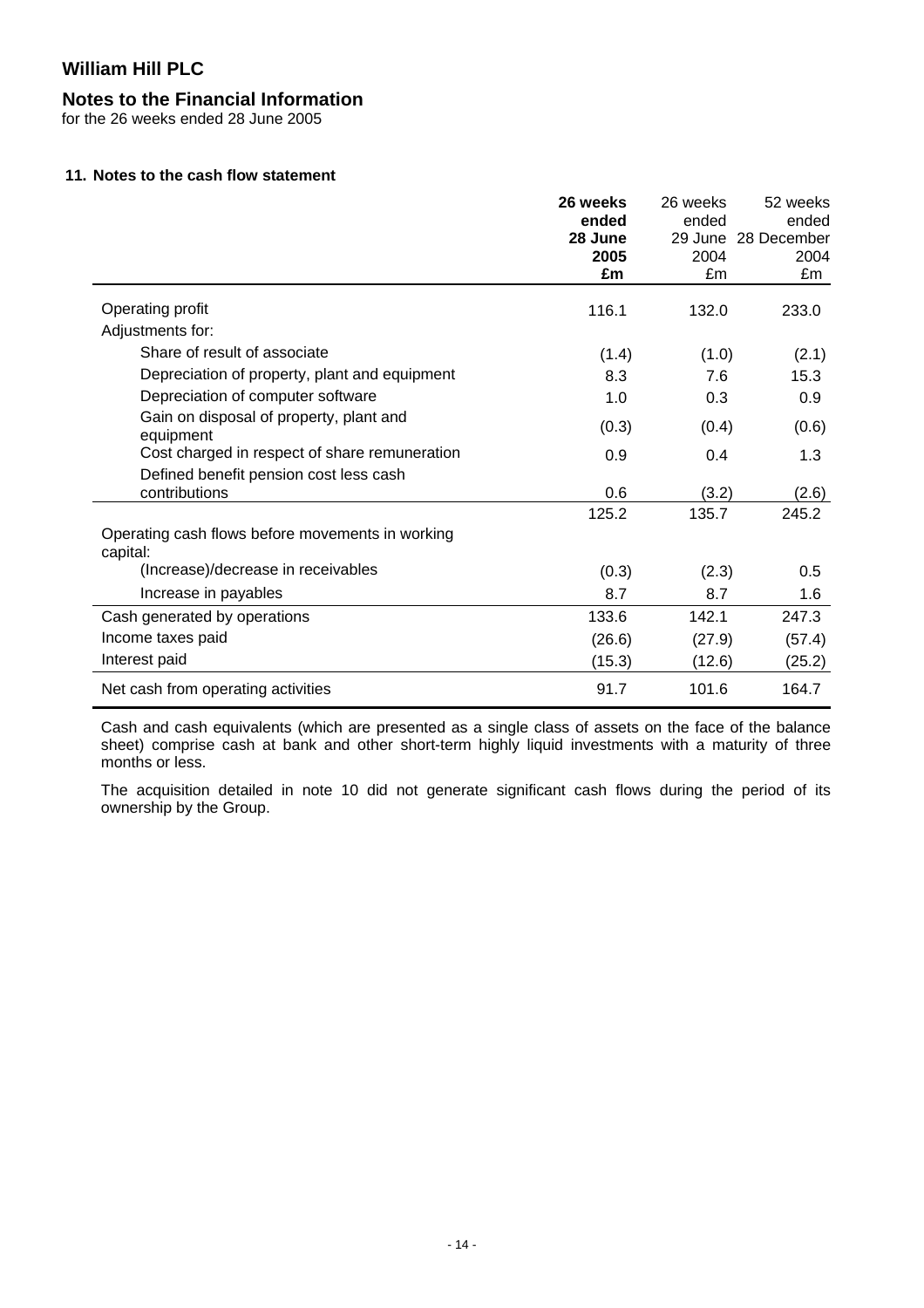### **Notes to the Financial Information**

for the 26 weeks ended 28 June 2005

#### **11. Notes to the cash flow statement**

|                                                                                         | 26 weeks<br>ended<br>28 June<br>2005<br>£m | 26 weeks<br>ended<br>2004<br>£m | 52 weeks<br>ended<br>29 June 28 December<br>2004<br>£m |
|-----------------------------------------------------------------------------------------|--------------------------------------------|---------------------------------|--------------------------------------------------------|
| Operating profit                                                                        | 116.1                                      | 132.0                           | 233.0                                                  |
| Adjustments for:                                                                        |                                            |                                 |                                                        |
| Share of result of associate                                                            | (1.4)                                      | (1.0)                           | (2.1)                                                  |
| Depreciation of property, plant and equipment                                           | 8.3                                        | 7.6                             | 15.3                                                   |
| Depreciation of computer software                                                       | 1.0                                        | 0.3                             | 0.9                                                    |
| Gain on disposal of property, plant and<br>equipment                                    | (0.3)                                      | (0.4)                           | (0.6)                                                  |
| Cost charged in respect of share remuneration<br>Defined benefit pension cost less cash | 0.9                                        | 0.4                             | 1.3                                                    |
| contributions                                                                           | 0.6                                        | (3.2)                           | (2.6)                                                  |
|                                                                                         | 125.2                                      | 135.7                           | 245.2                                                  |
| Operating cash flows before movements in working<br>capital:                            |                                            |                                 |                                                        |
| (Increase)/decrease in receivables                                                      | (0.3)                                      | (2.3)                           | 0.5                                                    |
| Increase in payables                                                                    | 8.7                                        | 8.7                             | 1.6                                                    |
| Cash generated by operations                                                            | 133.6                                      | 142.1                           | 247.3                                                  |
| Income taxes paid                                                                       | (26.6)                                     | (27.9)                          | (57.4)                                                 |
| Interest paid                                                                           | (15.3)                                     | (12.6)                          | (25.2)                                                 |
| Net cash from operating activities                                                      | 91.7                                       | 101.6                           | 164.7                                                  |

Cash and cash equivalents (which are presented as a single class of assets on the face of the balance sheet) comprise cash at bank and other short-term highly liquid investments with a maturity of three months or less.

The acquisition detailed in note 10 did not generate significant cash flows during the period of its ownership by the Group.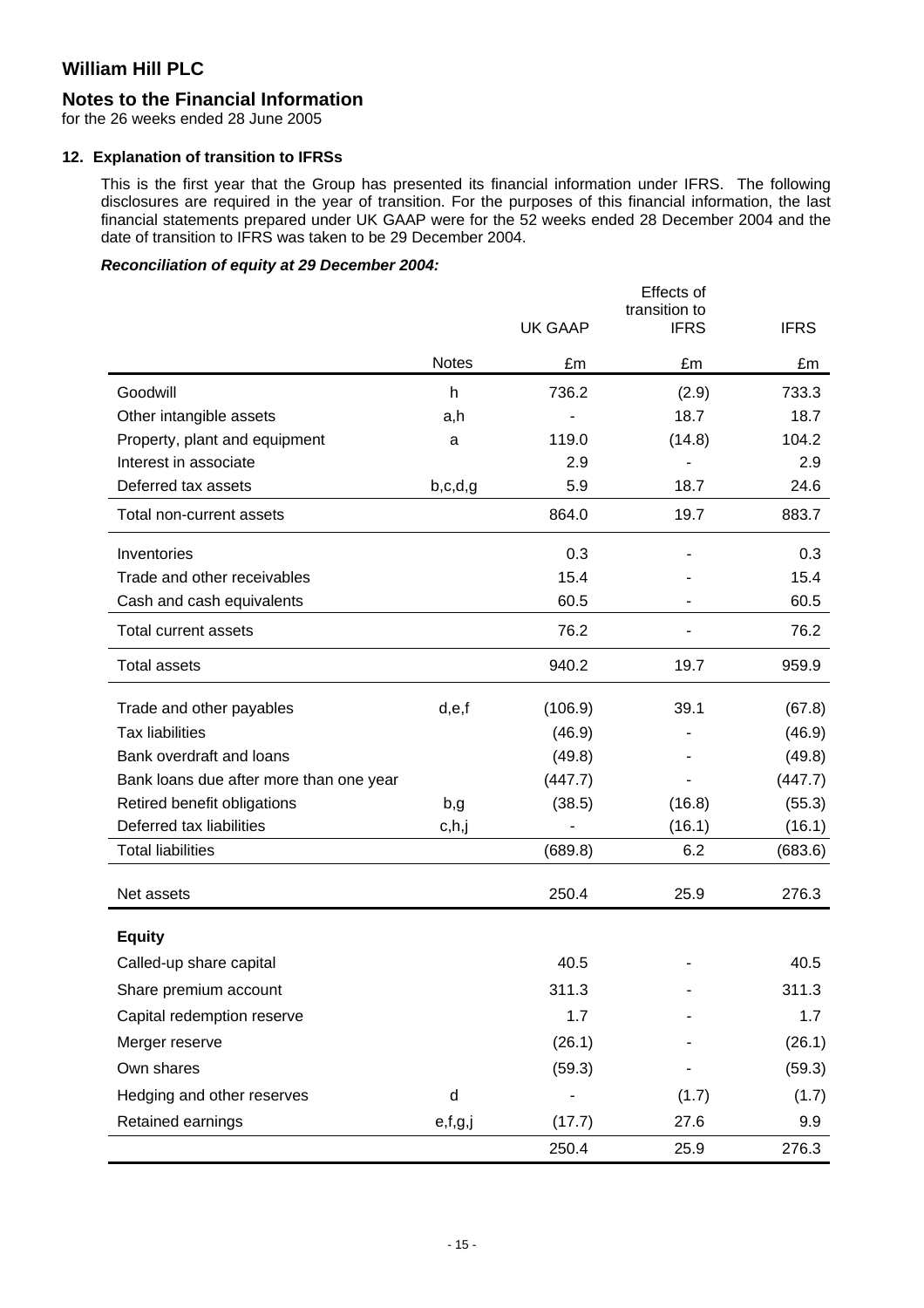### **Notes to the Financial Information**

for the 26 weeks ended 28 June 2005

#### **12. Explanation of transition to IFRSs**

This is the first year that the Group has presented its financial information under IFRS. The following disclosures are required in the year of transition. For the purposes of this financial information, the last financial statements prepared under UK GAAP were for the 52 weeks ended 28 December 2004 and the date of transition to IFRS was taken to be 29 December 2004.

### *Reconciliation of equity at 29 December 2004:*

|                                         |              |                | Effects of<br>transition to |             |
|-----------------------------------------|--------------|----------------|-----------------------------|-------------|
|                                         |              | <b>UK GAAP</b> | <b>IFRS</b>                 | <b>IFRS</b> |
|                                         | <b>Notes</b> | £m             | £m                          | £m          |
| Goodwill                                | h            | 736.2          | (2.9)                       | 733.3       |
| Other intangible assets                 | a,h          |                | 18.7                        | 18.7        |
| Property, plant and equipment           | a            | 119.0          | (14.8)                      | 104.2       |
| Interest in associate                   |              | 2.9            |                             | 2.9         |
| Deferred tax assets                     | b,c,d,g      | 5.9            | 18.7                        | 24.6        |
| Total non-current assets                |              | 864.0          | 19.7                        | 883.7       |
| Inventories                             |              | 0.3            |                             | 0.3         |
| Trade and other receivables             |              | 15.4           |                             | 15.4        |
| Cash and cash equivalents               |              | 60.5           |                             | 60.5        |
| <b>Total current assets</b>             |              | 76.2           |                             | 76.2        |
| <b>Total assets</b>                     |              | 940.2          | 19.7                        | 959.9       |
| Trade and other payables                | d,e,f        | (106.9)        | 39.1                        | (67.8)      |
| <b>Tax liabilities</b>                  |              | (46.9)         |                             | (46.9)      |
| Bank overdraft and loans                |              | (49.8)         |                             | (49.8)      |
| Bank loans due after more than one year |              | (447.7)        |                             | (447.7)     |
| Retired benefit obligations             | b,g          | (38.5)         | (16.8)                      | (55.3)      |
| Deferred tax liabilities                | c,h,j        |                | (16.1)                      | (16.1)      |
| <b>Total liabilities</b>                |              | (689.8)        | 6.2                         | (683.6)     |
| Net assets                              |              | 250.4          | 25.9                        | 276.3       |
| <b>Equity</b>                           |              |                |                             |             |
| Called-up share capital                 |              | 40.5           |                             | 40.5        |
| Share premium account                   |              | 311.3          |                             | 311.3       |
| Capital redemption reserve              |              | 1.7            |                             | 1.7         |
| Merger reserve                          |              | (26.1)         |                             | (26.1)      |
| Own shares                              |              | (59.3)         |                             | (59.3)      |
| Hedging and other reserves              | d            |                | (1.7)                       | (1.7)       |
| Retained earnings                       | e,f,g,j      | (17.7)         | 27.6                        | 9.9         |
|                                         |              | 250.4          | 25.9                        | 276.3       |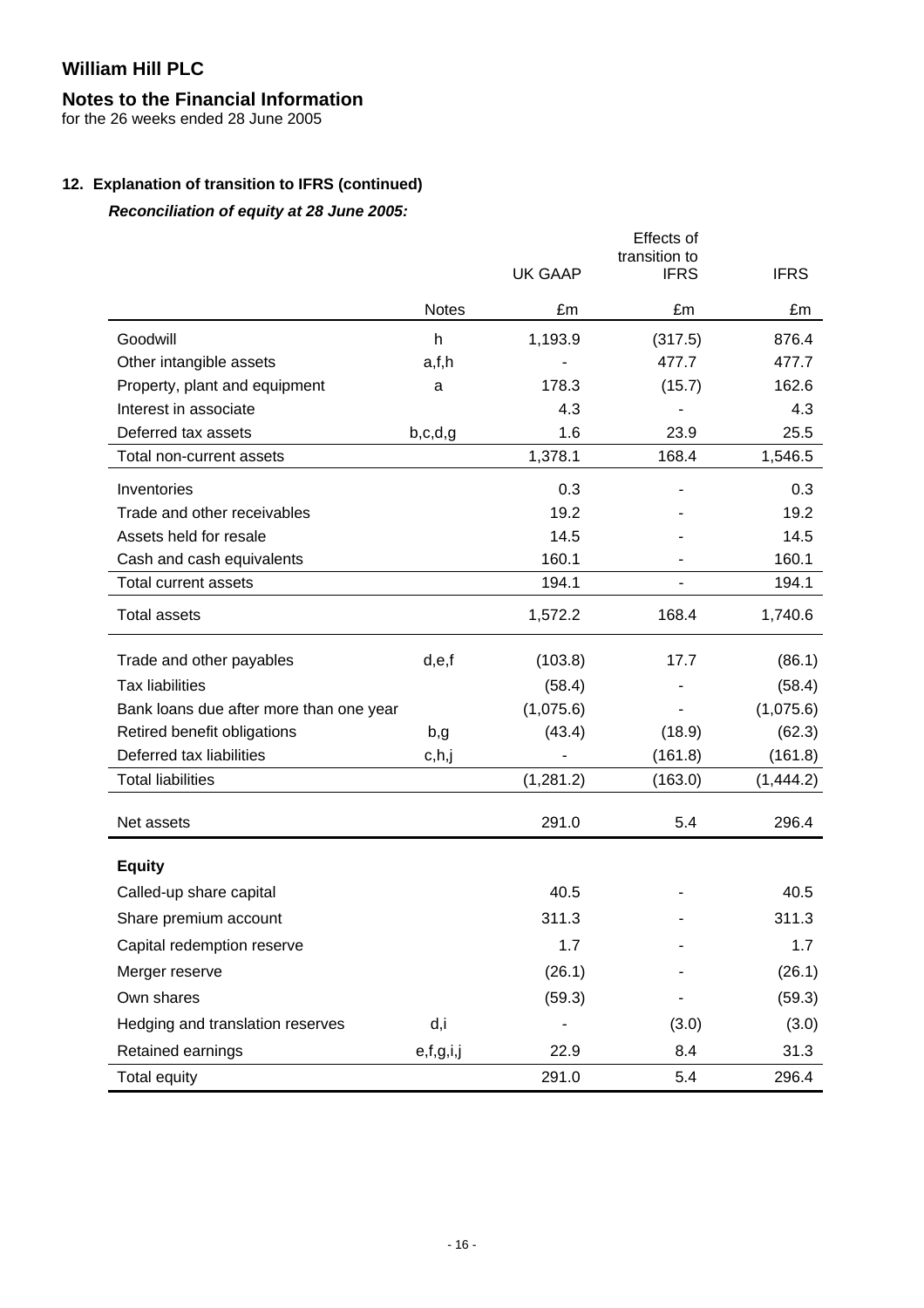# **Notes to the Financial Information**

for the 26 weeks ended 28 June 2005

### **12. Explanation of transition to IFRS (continued)**

*Reconciliation of equity at 28 June 2005:* 

|                                         |              | <b>UK GAAP</b> | Effects of<br>transition to<br><b>IFRS</b> | <b>IFRS</b> |
|-----------------------------------------|--------------|----------------|--------------------------------------------|-------------|
|                                         | <b>Notes</b> | £m             | £m                                         | £m          |
| Goodwill                                | h            | 1,193.9        | (317.5)                                    | 876.4       |
| Other intangible assets                 | a,f,h        |                | 477.7                                      | 477.7       |
| Property, plant and equipment           | a            | 178.3          | (15.7)                                     | 162.6       |
| Interest in associate                   |              | 4.3            |                                            | 4.3         |
| Deferred tax assets                     | b,c,d,g      | 1.6            | 23.9                                       | 25.5        |
| Total non-current assets                |              | 1,378.1        | 168.4                                      | 1,546.5     |
| Inventories                             |              | 0.3            |                                            | 0.3         |
| Trade and other receivables             |              | 19.2           |                                            | 19.2        |
| Assets held for resale                  |              | 14.5           |                                            | 14.5        |
| Cash and cash equivalents               |              | 160.1          |                                            | 160.1       |
| <b>Total current assets</b>             |              | 194.1          |                                            | 194.1       |
| <b>Total assets</b>                     |              | 1,572.2        | 168.4                                      | 1,740.6     |
| Trade and other payables                | d,e,f        | (103.8)        | 17.7                                       | (86.1)      |
| <b>Tax liabilities</b>                  |              | (58.4)         |                                            | (58.4)      |
| Bank loans due after more than one year |              | (1,075.6)      |                                            | (1,075.6)   |
| Retired benefit obligations             | b,g          | (43.4)         | (18.9)                                     | (62.3)      |
| Deferred tax liabilities                | c,h,j        |                | (161.8)                                    | (161.8)     |
| <b>Total liabilities</b>                |              | (1,281.2)      | (163.0)                                    | (1,444.2)   |
| Net assets                              |              | 291.0          | 5.4                                        | 296.4       |
| <b>Equity</b>                           |              |                |                                            |             |
| Called-up share capital                 |              | 40.5           |                                            | 40.5        |
| Share premium account                   |              | 311.3          |                                            | 311.3       |
| Capital redemption reserve              |              | 1.7            |                                            | 1.7         |
| Merger reserve                          |              | (26.1)         |                                            | (26.1)      |
| Own shares                              |              | (59.3)         |                                            | (59.3)      |
| Hedging and translation reserves        | d,i          |                | (3.0)                                      | (3.0)       |
| Retained earnings                       | e,f,g,i,j    | 22.9           | 8.4                                        | 31.3        |
| Total equity                            |              | 291.0          | 5.4                                        | 296.4       |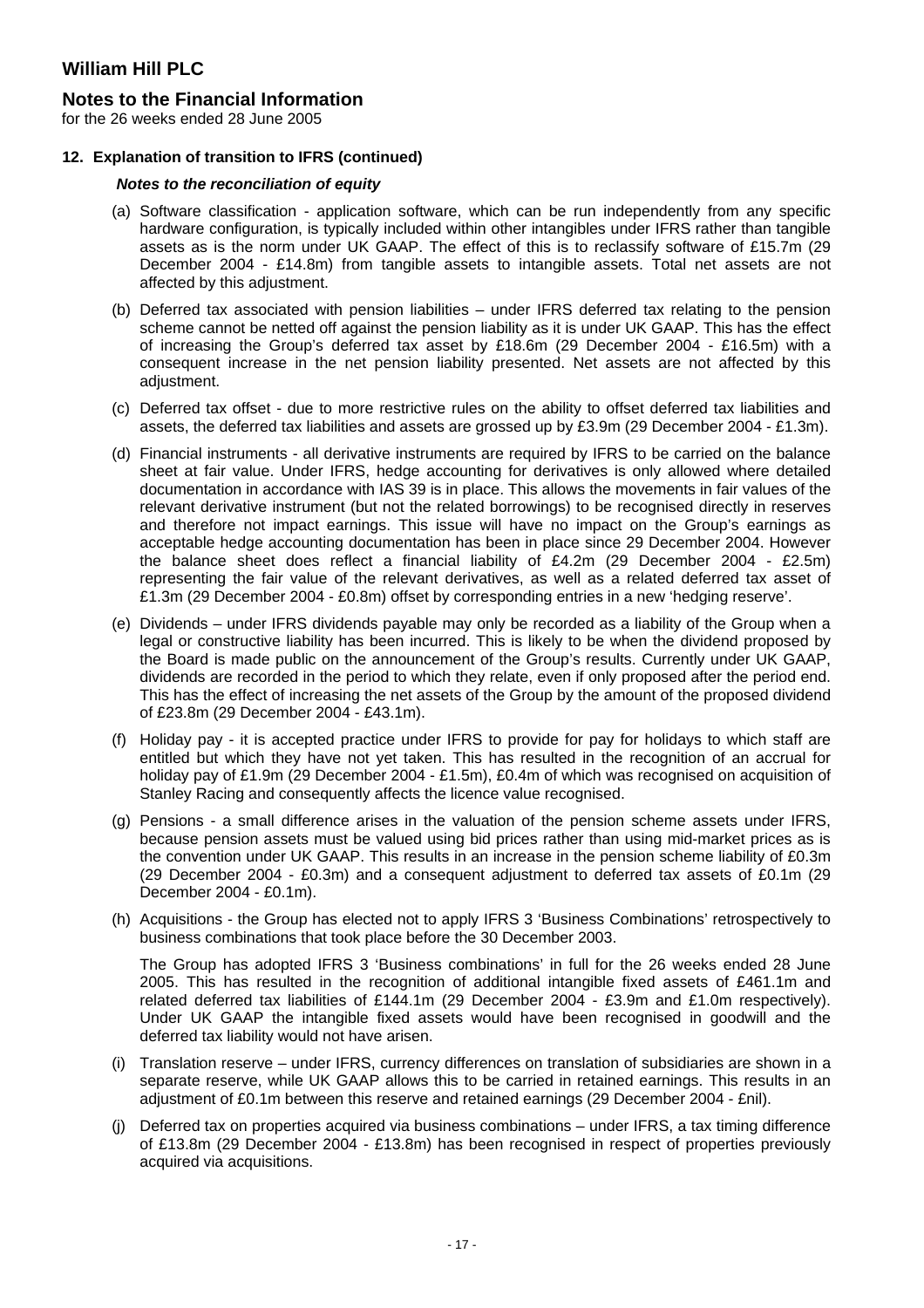### **Notes to the Financial Information**

for the 26 weeks ended 28 June 2005

#### **12. Explanation of transition to IFRS (continued)**

#### *Notes to the reconciliation of equity*

- (a) Software classification application software, which can be run independently from any specific hardware configuration, is typically included within other intangibles under IFRS rather than tangible assets as is the norm under UK GAAP. The effect of this is to reclassify software of £15.7m (29 December 2004 - £14.8m) from tangible assets to intangible assets. Total net assets are not affected by this adjustment.
- (b) Deferred tax associated with pension liabilities under IFRS deferred tax relating to the pension scheme cannot be netted off against the pension liability as it is under UK GAAP. This has the effect of increasing the Group's deferred tax asset by £18.6m (29 December 2004 - £16.5m) with a consequent increase in the net pension liability presented. Net assets are not affected by this adjustment.
- (c) Deferred tax offset due to more restrictive rules on the ability to offset deferred tax liabilities and assets, the deferred tax liabilities and assets are grossed up by £3.9m (29 December 2004 - £1.3m).
- (d) Financial instruments all derivative instruments are required by IFRS to be carried on the balance sheet at fair value. Under IFRS, hedge accounting for derivatives is only allowed where detailed documentation in accordance with IAS 39 is in place. This allows the movements in fair values of the relevant derivative instrument (but not the related borrowings) to be recognised directly in reserves and therefore not impact earnings. This issue will have no impact on the Group's earnings as acceptable hedge accounting documentation has been in place since 29 December 2004. However the balance sheet does reflect a financial liability of £4.2m (29 December 2004 - £2.5m) representing the fair value of the relevant derivatives, as well as a related deferred tax asset of £1.3m (29 December 2004 - £0.8m) offset by corresponding entries in a new 'hedging reserve'.
- (e) Dividends under IFRS dividends payable may only be recorded as a liability of the Group when a legal or constructive liability has been incurred. This is likely to be when the dividend proposed by the Board is made public on the announcement of the Group's results. Currently under UK GAAP, dividends are recorded in the period to which they relate, even if only proposed after the period end. This has the effect of increasing the net assets of the Group by the amount of the proposed dividend of £23.8m (29 December 2004 - £43.1m).
- (f) Holiday pay it is accepted practice under IFRS to provide for pay for holidays to which staff are entitled but which they have not yet taken. This has resulted in the recognition of an accrual for holiday pay of £1.9m (29 December 2004 - £1.5m), £0.4m of which was recognised on acquisition of Stanley Racing and consequently affects the licence value recognised.
- (g) Pensions a small difference arises in the valuation of the pension scheme assets under IFRS, because pension assets must be valued using bid prices rather than using mid-market prices as is the convention under UK GAAP. This results in an increase in the pension scheme liability of £0.3m (29 December 2004 - £0.3m) and a consequent adjustment to deferred tax assets of £0.1m (29 December 2004 - £0.1m).
- (h) Acquisitions the Group has elected not to apply IFRS 3 'Business Combinations' retrospectively to business combinations that took place before the 30 December 2003.

The Group has adopted IFRS 3 'Business combinations' in full for the 26 weeks ended 28 June 2005. This has resulted in the recognition of additional intangible fixed assets of £461.1m and related deferred tax liabilities of £144.1m (29 December 2004 - £3.9m and £1.0m respectively). Under UK GAAP the intangible fixed assets would have been recognised in goodwill and the deferred tax liability would not have arisen.

- (i) Translation reserve under IFRS, currency differences on translation of subsidiaries are shown in a separate reserve, while UK GAAP allows this to be carried in retained earnings. This results in an adjustment of £0.1m between this reserve and retained earnings (29 December 2004 - £nil).
- (j) Deferred tax on properties acquired via business combinations under IFRS, a tax timing difference of £13.8m (29 December 2004 - £13.8m) has been recognised in respect of properties previously acquired via acquisitions.